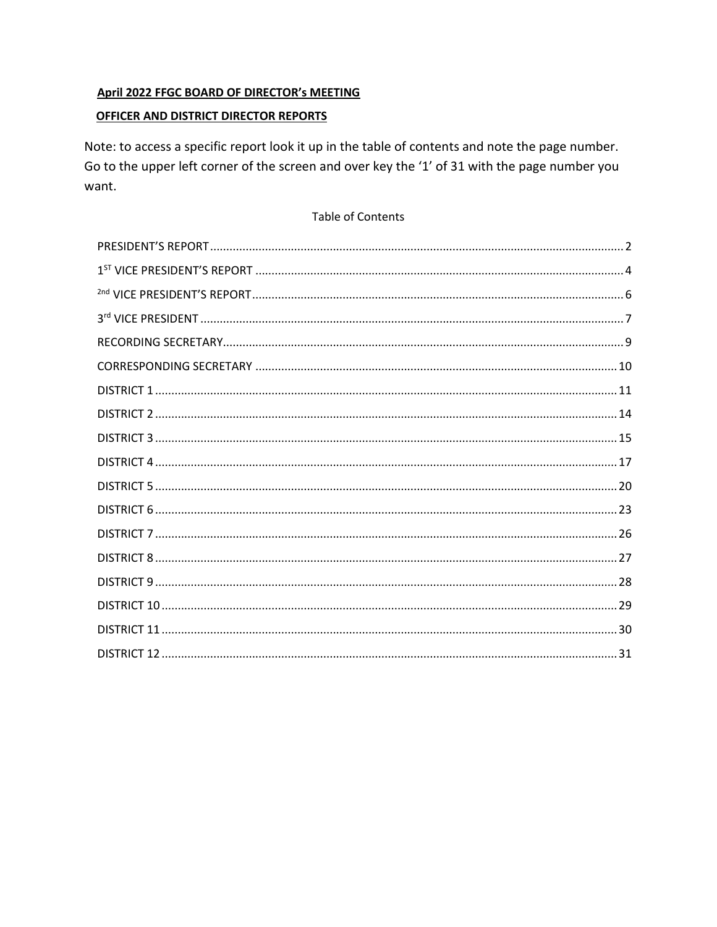## April 2022 FFGC BOARD OF DIRECTOR's MEETING

## OFFICER AND DISTRICT DIRECTOR REPORTS

Note: to access a specific report look it up in the table of contents and note the page number. Go to the upper left corner of the screen and over key the '1' of 31 with the page number you want.

#### Table of Contents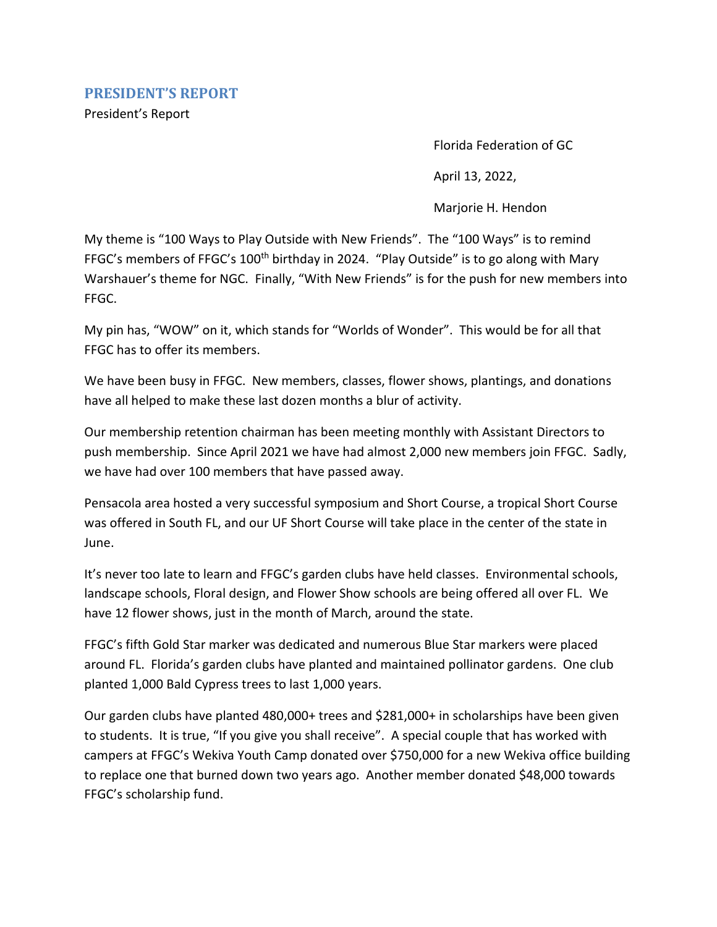<span id="page-1-0"></span>President's Report

Florida Federation of GC

April 13, 2022,

Marjorie H. Hendon

My theme is "100 Ways to Play Outside with New Friends". The "100 Ways" is to remind FFGC's members of FFGC's 100<sup>th</sup> birthday in 2024. "Play Outside" is to go along with Mary Warshauer's theme for NGC. Finally, "With New Friends" is for the push for new members into FFGC.

My pin has, "WOW" on it, which stands for "Worlds of Wonder". This would be for all that FFGC has to offer its members.

We have been busy in FFGC. New members, classes, flower shows, plantings, and donations have all helped to make these last dozen months a blur of activity.

Our membership retention chairman has been meeting monthly with Assistant Directors to push membership. Since April 2021 we have had almost 2,000 new members join FFGC. Sadly, we have had over 100 members that have passed away.

Pensacola area hosted a very successful symposium and Short Course, a tropical Short Course was offered in South FL, and our UF Short Course will take place in the center of the state in June.

It's never too late to learn and FFGC's garden clubs have held classes. Environmental schools, landscape schools, Floral design, and Flower Show schools are being offered all over FL. We have 12 flower shows, just in the month of March, around the state.

FFGC's fifth Gold Star marker was dedicated and numerous Blue Star markers were placed around FL. Florida's garden clubs have planted and maintained pollinator gardens. One club planted 1,000 Bald Cypress trees to last 1,000 years.

Our garden clubs have planted 480,000+ trees and \$281,000+ in scholarships have been given to students. It is true, "If you give you shall receive". A special couple that has worked with campers at FFGC's Wekiva Youth Camp donated over \$750,000 for a new Wekiva office building to replace one that burned down two years ago. Another member donated \$48,000 towards FFGC's scholarship fund.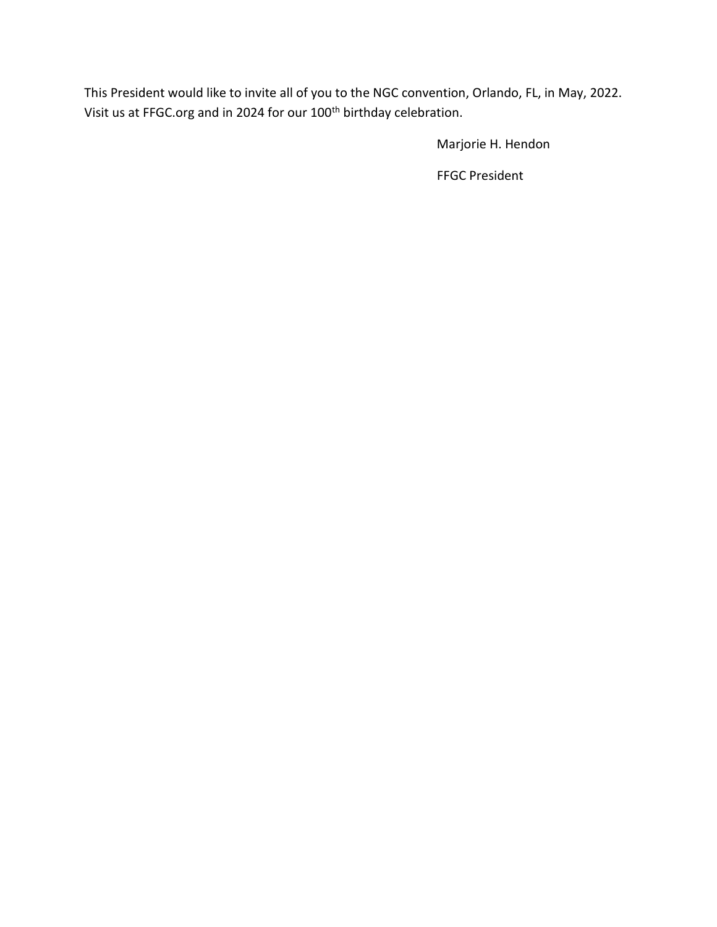This President would like to invite all of you to the NGC convention, Orlando, FL, in May, 2022. Visit us at FFGC.org and in 2024 for our 100<sup>th</sup> birthday celebration.

Marjorie H. Hendon

FFGC President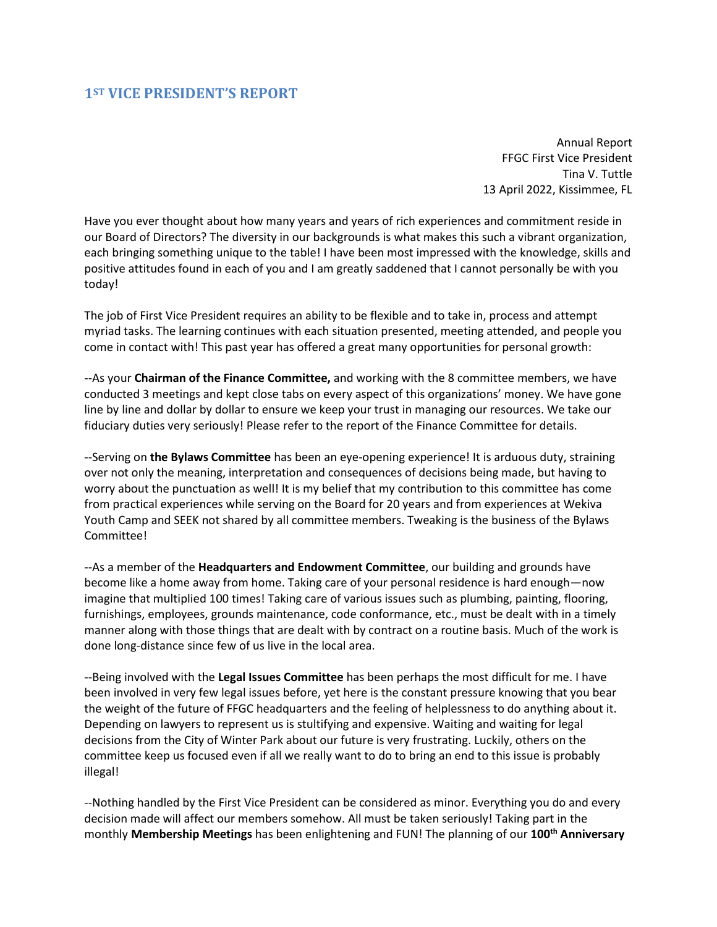## <span id="page-3-0"></span>**1ST VICE PRESIDENT'S REPORT**

Annual Report FFGC First Vice President Tina V. Tuttle 13 April 2022, Kissimmee, FL

Have you ever thought about how many years and years of rich experiences and commitment reside in our Board of Directors? The diversity in our backgrounds is what makes this such a vibrant organization, each bringing something unique to the table! I have been most impressed with the knowledge, skills and positive attitudes found in each of you and I am greatly saddened that I cannot personally be with you today!

The job of First Vice President requires an ability to be flexible and to take in, process and attempt myriad tasks. The learning continues with each situation presented, meeting attended, and people you come in contact with! This past year has offered a great many opportunities for personal growth:

--As your **Chairman of the Finance Committee,** and working with the 8 committee members, we have conducted 3 meetings and kept close tabs on every aspect of this organizations' money. We have gone line by line and dollar by dollar to ensure we keep your trust in managing our resources. We take our fiduciary duties very seriously! Please refer to the report of the Finance Committee for details.

--Serving on **the Bylaws Committee** has been an eye-opening experience! It is arduous duty, straining over not only the meaning, interpretation and consequences of decisions being made, but having to worry about the punctuation as well! It is my belief that my contribution to this committee has come from practical experiences while serving on the Board for 20 years and from experiences at Wekiva Youth Camp and SEEK not shared by all committee members. Tweaking is the business of the Bylaws Committee!

--As a member of the **Headquarters and Endowment Committee**, our building and grounds have become like a home away from home. Taking care of your personal residence is hard enough—now imagine that multiplied 100 times! Taking care of various issues such as plumbing, painting, flooring, furnishings, employees, grounds maintenance, code conformance, etc., must be dealt with in a timely manner along with those things that are dealt with by contract on a routine basis. Much of the work is done long-distance since few of us live in the local area.

--Being involved with the **Legal Issues Committee** has been perhaps the most difficult for me. I have been involved in very few legal issues before, yet here is the constant pressure knowing that you bear the weight of the future of FFGC headquarters and the feeling of helplessness to do anything about it. Depending on lawyers to represent us is stultifying and expensive. Waiting and waiting for legal decisions from the City of Winter Park about our future is very frustrating. Luckily, others on the committee keep us focused even if all we really want to do to bring an end to this issue is probably illegal!

--Nothing handled by the First Vice President can be considered as minor. Everything you do and every decision made will affect our members somehow. All must be taken seriously! Taking part in the monthly **Membership Meetings** has been enlightening and FUN! The planning of our **100th Anniversary**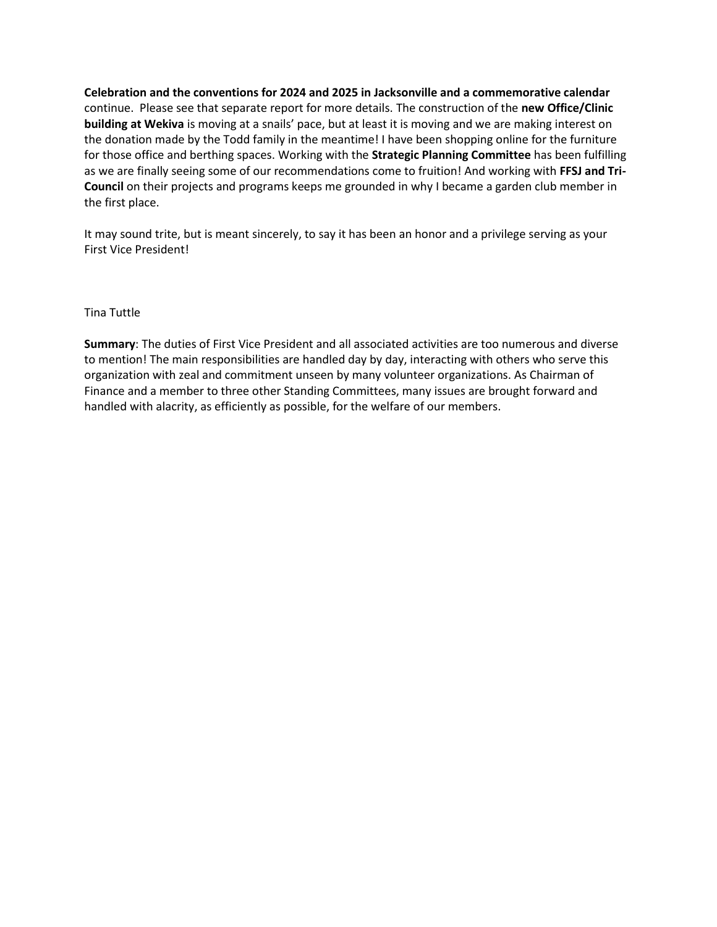**Celebration and the conventions for 2024 and 2025 in Jacksonville and a commemorative calendar** continue. Please see that separate report for more details. The construction of the **new Office/Clinic building at Wekiva** is moving at a snails' pace, but at least it is moving and we are making interest on the donation made by the Todd family in the meantime! I have been shopping online for the furniture for those office and berthing spaces. Working with the **Strategic Planning Committee** has been fulfilling as we are finally seeing some of our recommendations come to fruition! And working with **FFSJ and Tri-Council** on their projects and programs keeps me grounded in why I became a garden club member in the first place.

It may sound trite, but is meant sincerely, to say it has been an honor and a privilege serving as your First Vice President!

#### Tina Tuttle

**Summary**: The duties of First Vice President and all associated activities are too numerous and diverse to mention! The main responsibilities are handled day by day, interacting with others who serve this organization with zeal and commitment unseen by many volunteer organizations. As Chairman of Finance and a member to three other Standing Committees, many issues are brought forward and handled with alacrity, as efficiently as possible, for the welfare of our members.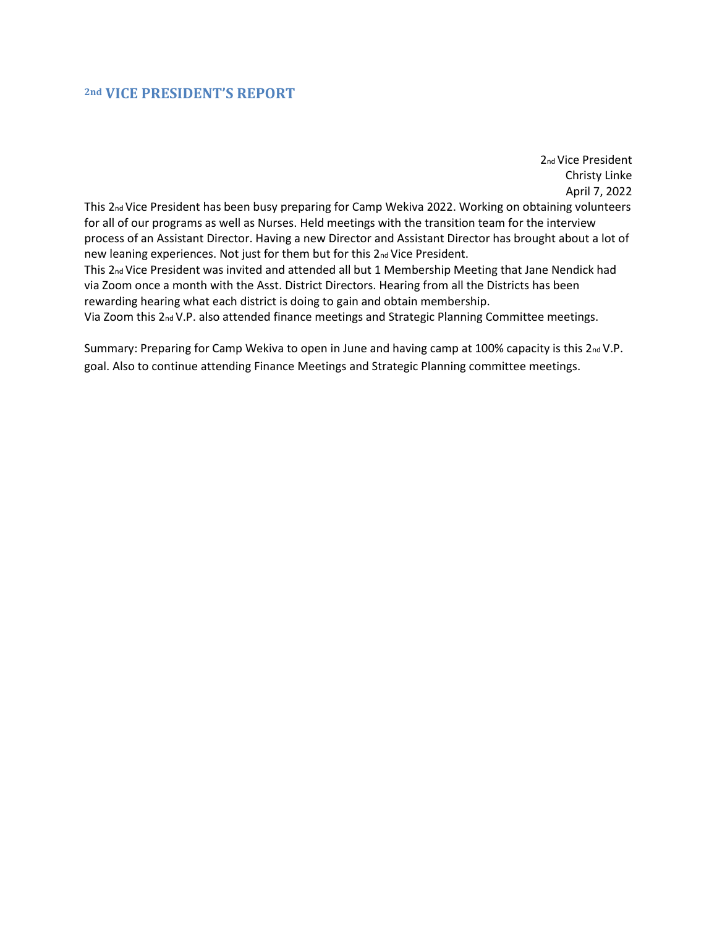### <span id="page-5-0"></span>**2nd VICE PRESIDENT'S REPORT**

2nd Vice President Christy Linke April 7, 2022 This 2<sub>nd</sub> Vice President has been busy preparing for Camp Wekiva 2022. Working on obtaining volunteers for all of our programs as well as Nurses. Held meetings with the transition team for the interview process of an Assistant Director. Having a new Director and Assistant Director has brought about a lot of new leaning experiences. Not just for them but for this 2nd Vice President. This 2nd Vice President was invited and attended all but 1 Membership Meeting that Jane Nendick had via Zoom once a month with the Asst. District Directors. Hearing from all the Districts has been rewarding hearing what each district is doing to gain and obtain membership. Via Zoom this 2nd V.P. also attended finance meetings and Strategic Planning Committee meetings.

Summary: Preparing for Camp Wekiva to open in June and having camp at 100% capacity is this 2nd V.P. goal. Also to continue attending Finance Meetings and Strategic Planning committee meetings.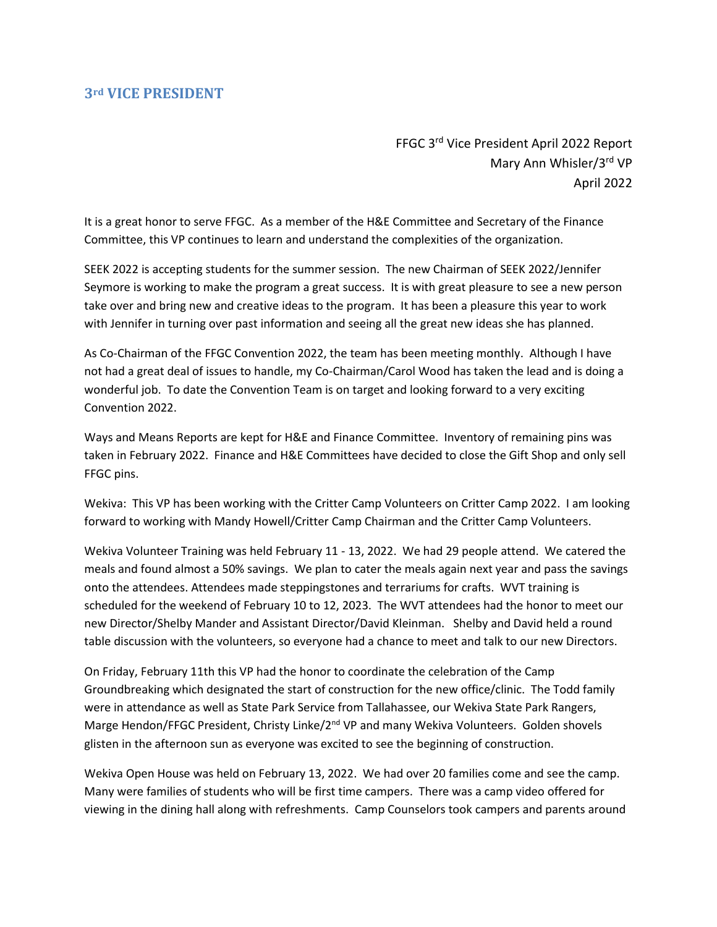### <span id="page-6-0"></span>**3rd VICE PRESIDENT**

FFGC 3<sup>rd</sup> Vice President April 2022 Report Mary Ann Whisler/3rd VP April 2022

It is a great honor to serve FFGC. As a member of the H&E Committee and Secretary of the Finance Committee, this VP continues to learn and understand the complexities of the organization.

SEEK 2022 is accepting students for the summer session. The new Chairman of SEEK 2022/Jennifer Seymore is working to make the program a great success. It is with great pleasure to see a new person take over and bring new and creative ideas to the program. It has been a pleasure this year to work with Jennifer in turning over past information and seeing all the great new ideas she has planned.

As Co-Chairman of the FFGC Convention 2022, the team has been meeting monthly. Although I have not had a great deal of issues to handle, my Co-Chairman/Carol Wood has taken the lead and is doing a wonderful job. To date the Convention Team is on target and looking forward to a very exciting Convention 2022.

Ways and Means Reports are kept for H&E and Finance Committee. Inventory of remaining pins was taken in February 2022. Finance and H&E Committees have decided to close the Gift Shop and only sell FFGC pins.

Wekiva: This VP has been working with the Critter Camp Volunteers on Critter Camp 2022. I am looking forward to working with Mandy Howell/Critter Camp Chairman and the Critter Camp Volunteers.

Wekiva Volunteer Training was held February 11 - 13, 2022. We had 29 people attend. We catered the meals and found almost a 50% savings. We plan to cater the meals again next year and pass the savings onto the attendees. Attendees made steppingstones and terrariums for crafts. WVT training is scheduled for the weekend of February 10 to 12, 2023. The WVT attendees had the honor to meet our new Director/Shelby Mander and Assistant Director/David Kleinman. Shelby and David held a round table discussion with the volunteers, so everyone had a chance to meet and talk to our new Directors.

On Friday, February 11th this VP had the honor to coordinate the celebration of the Camp Groundbreaking which designated the start of construction for the new office/clinic. The Todd family were in attendance as well as State Park Service from Tallahassee, our Wekiva State Park Rangers, Marge Hendon/FFGC President, Christy Linke/2<sup>nd</sup> VP and many Wekiva Volunteers. Golden shovels glisten in the afternoon sun as everyone was excited to see the beginning of construction.

Wekiva Open House was held on February 13, 2022. We had over 20 families come and see the camp. Many were families of students who will be first time campers. There was a camp video offered for viewing in the dining hall along with refreshments. Camp Counselors took campers and parents around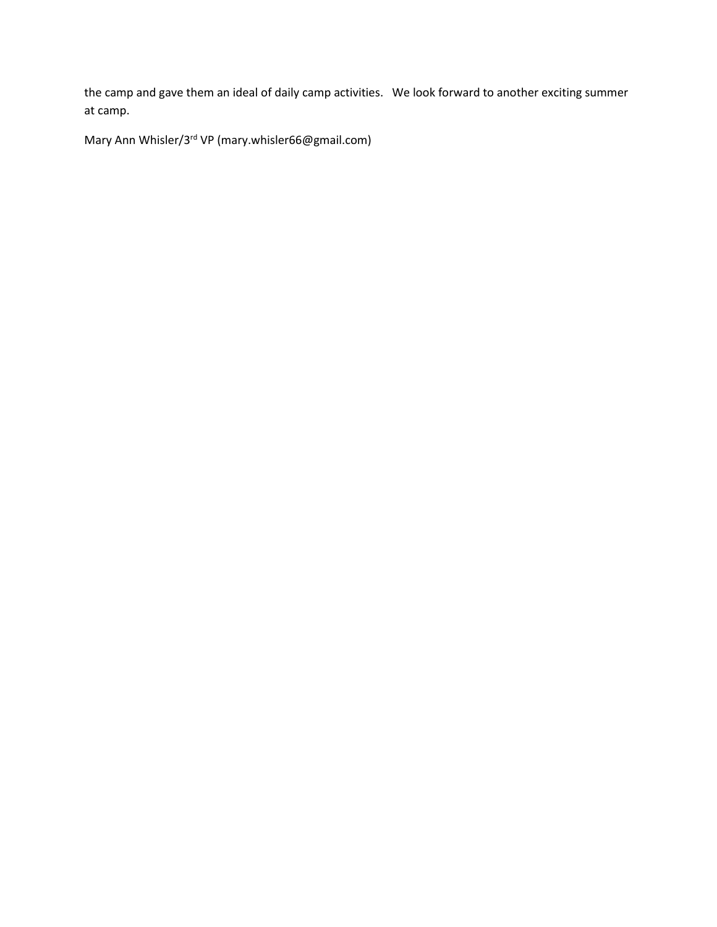the camp and gave them an ideal of daily camp activities. We look forward to another exciting summer at camp.

Mary Ann Whisler/3<sup>rd</sup> VP (mary.whisler66@gmail.com)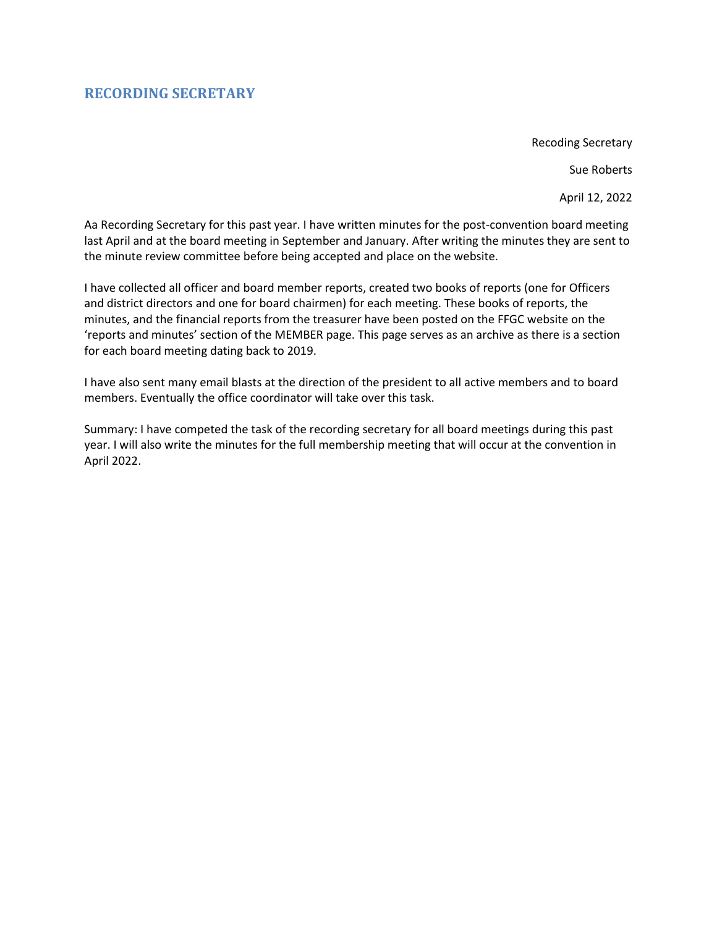## <span id="page-8-0"></span>**RECORDING SECRETARY**

Recoding Secretary

Sue Roberts

April 12, 2022

Aa Recording Secretary for this past year. I have written minutes for the post-convention board meeting last April and at the board meeting in September and January. After writing the minutes they are sent to the minute review committee before being accepted and place on the website.

I have collected all officer and board member reports, created two books of reports (one for Officers and district directors and one for board chairmen) for each meeting. These books of reports, the minutes, and the financial reports from the treasurer have been posted on the FFGC website on the 'reports and minutes' section of the MEMBER page. This page serves as an archive as there is a section for each board meeting dating back to 2019.

I have also sent many email blasts at the direction of the president to all active members and to board members. Eventually the office coordinator will take over this task.

Summary: I have competed the task of the recording secretary for all board meetings during this past year. I will also write the minutes for the full membership meeting that will occur at the convention in April 2022.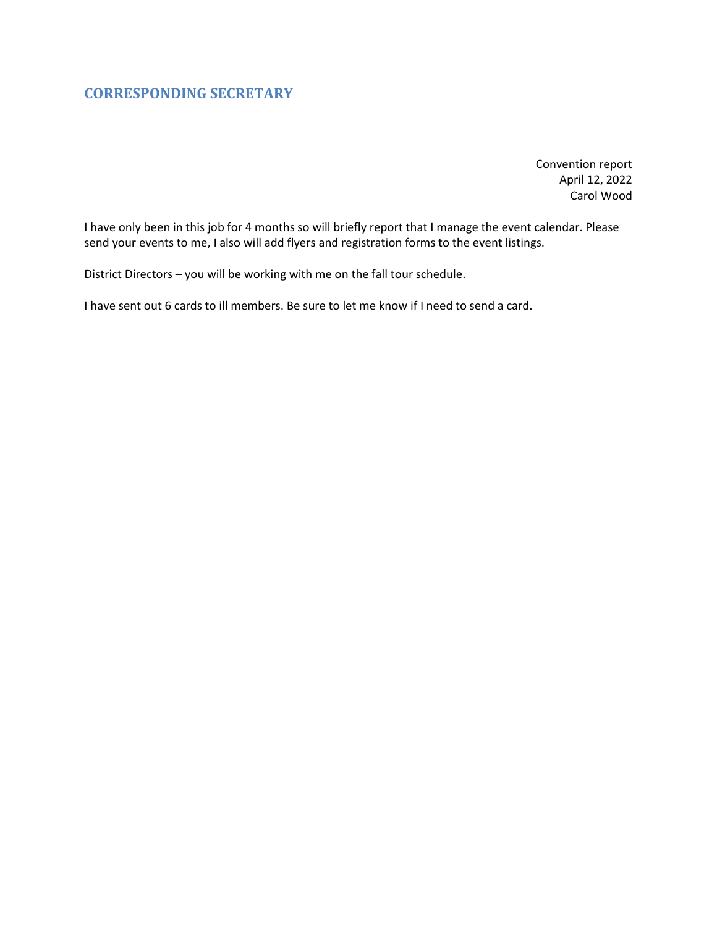# <span id="page-9-0"></span>**CORRESPONDING SECRETARY**

Convention report April 12, 2022 Carol Wood

I have only been in this job for 4 months so will briefly report that I manage the event calendar. Please send your events to me, I also will add flyers and registration forms to the event listings.

District Directors – you will be working with me on the fall tour schedule.

I have sent out 6 cards to ill members. Be sure to let me know if I need to send a card.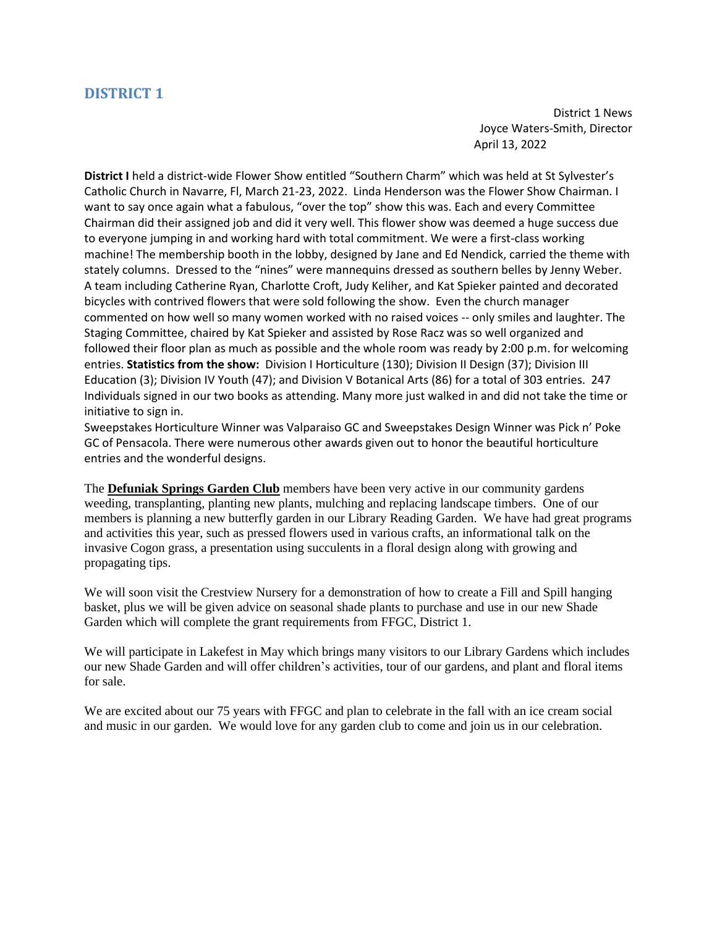District 1 News Joyce Waters-Smith, Director April 13, 2022

<span id="page-10-0"></span>**District I** held a district-wide Flower Show entitled "Southern Charm" which was held at St Sylvester's Catholic Church in Navarre, Fl, March 21-23, 2022. Linda Henderson was the Flower Show Chairman. I want to say once again what a fabulous, "over the top" show this was. Each and every Committee Chairman did their assigned job and did it very well. This flower show was deemed a huge success due to everyone jumping in and working hard with total commitment. We were a first-class working machine! The membership booth in the lobby, designed by Jane and Ed Nendick, carried the theme with stately columns. Dressed to the "nines" were mannequins dressed as southern belles by Jenny Weber. A team including Catherine Ryan, Charlotte Croft, Judy Keliher, and Kat Spieker painted and decorated bicycles with contrived flowers that were sold following the show. Even the church manager commented on how well so many women worked with no raised voices -- only smiles and laughter. The Staging Committee, chaired by Kat Spieker and assisted by Rose Racz was so well organized and followed their floor plan as much as possible and the whole room was ready by 2:00 p.m. for welcoming entries. **Statistics from the show:** Division I Horticulture (130); Division II Design (37); Division III Education (3); Division IV Youth (47); and Division V Botanical Arts (86) for a total of 303 entries. 247 Individuals signed in our two books as attending. Many more just walked in and did not take the time or initiative to sign in.

Sweepstakes Horticulture Winner was Valparaiso GC and Sweepstakes Design Winner was Pick n' Poke GC of Pensacola. There were numerous other awards given out to honor the beautiful horticulture entries and the wonderful designs.

The **Defuniak Springs Garden Club** members have been very active in our community gardens weeding, transplanting, planting new plants, mulching and replacing landscape timbers. One of our members is planning a new butterfly garden in our Library Reading Garden. We have had great programs and activities this year, such as pressed flowers used in various crafts, an informational talk on the invasive Cogon grass, a presentation using succulents in a floral design along with growing and propagating tips.

We will soon visit the Crestview Nursery for a demonstration of how to create a Fill and Spill hanging basket, plus we will be given advice on seasonal shade plants to purchase and use in our new Shade Garden which will complete the grant requirements from FFGC, District 1.

We will participate in Lakefest in May which brings many visitors to our Library Gardens which includes our new Shade Garden and will offer children's activities, tour of our gardens, and plant and floral items for sale.

We are excited about our 75 years with FFGC and plan to celebrate in the fall with an ice cream social and music in our garden. We would love for any garden club to come and join us in our celebration.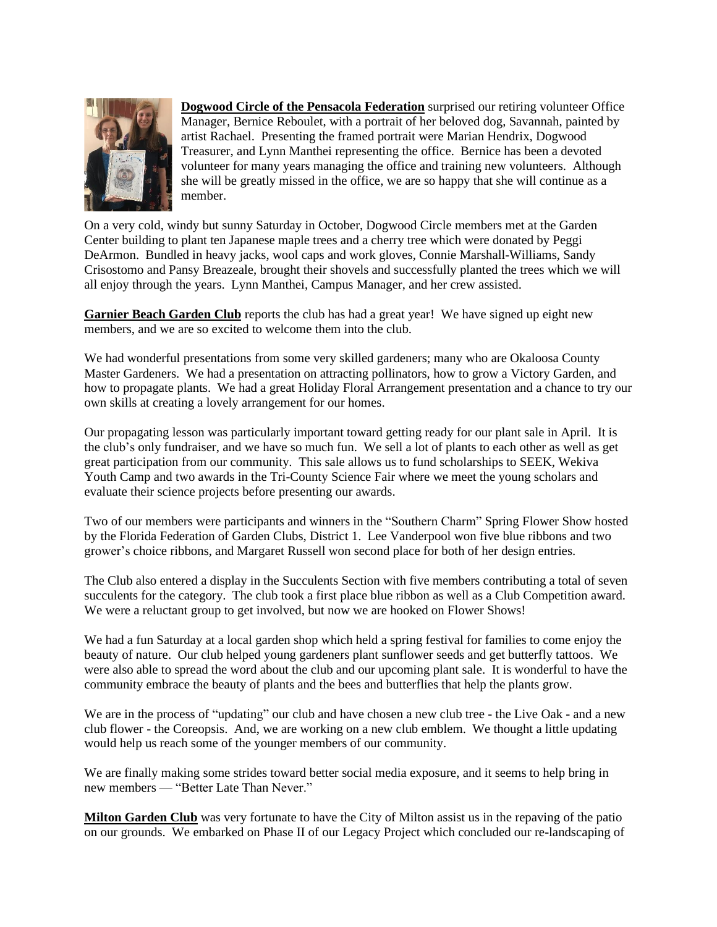

**Dogwood Circle of the Pensacola Federation** surprised our retiring volunteer Office Manager, Bernice Reboulet, with a portrait of her beloved dog, Savannah, painted by artist Rachael. Presenting the framed portrait were Marian Hendrix, Dogwood Treasurer, and Lynn Manthei representing the office. Bernice has been a devoted volunteer for many years managing the office and training new volunteers. Although she will be greatly missed in the office, we are so happy that she will continue as a member.

On a very cold, windy but sunny Saturday in October, Dogwood Circle members met at the Garden Center building to plant ten Japanese maple trees and a cherry tree which were donated by Peggi DeArmon. Bundled in heavy jacks, wool caps and work gloves, Connie Marshall-Williams, Sandy Crisostomo and Pansy Breazeale, brought their shovels and successfully planted the trees which we will all enjoy through the years. Lynn Manthei, Campus Manager, and her crew assisted.

**Garnier Beach Garden Club** reports the club has had a great year! We have signed up eight new members, and we are so excited to welcome them into the club.

We had wonderful presentations from some very skilled gardeners; many who are Okaloosa County Master Gardeners. We had a presentation on attracting pollinators, how to grow a Victory Garden, and how to propagate plants. We had a great Holiday Floral Arrangement presentation and a chance to try our own skills at creating a lovely arrangement for our homes.

Our propagating lesson was particularly important toward getting ready for our plant sale in April. It is the club's only fundraiser, and we have so much fun. We sell a lot of plants to each other as well as get great participation from our community. This sale allows us to fund scholarships to SEEK, Wekiva Youth Camp and two awards in the Tri-County Science Fair where we meet the young scholars and evaluate their science projects before presenting our awards.

Two of our members were participants and winners in the "Southern Charm" Spring Flower Show hosted by the Florida Federation of Garden Clubs, District 1. Lee Vanderpool won five blue ribbons and two grower's choice ribbons, and Margaret Russell won second place for both of her design entries.

The Club also entered a display in the Succulents Section with five members contributing a total of seven succulents for the category. The club took a first place blue ribbon as well as a Club Competition award. We were a reluctant group to get involved, but now we are hooked on Flower Shows!

We had a fun Saturday at a local garden shop which held a spring festival for families to come enjoy the beauty of nature. Our club helped young gardeners plant sunflower seeds and get butterfly tattoos. We were also able to spread the word about the club and our upcoming plant sale. It is wonderful to have the community embrace the beauty of plants and the bees and butterflies that help the plants grow.

We are in the process of "updating" our club and have chosen a new club tree - the Live Oak - and a new club flower - the Coreopsis. And, we are working on a new club emblem. We thought a little updating would help us reach some of the younger members of our community.

We are finally making some strides toward better social media exposure, and it seems to help bring in new members — "Better Late Than Never."

**Milton Garden Club** was very fortunate to have the City of Milton assist us in the repaving of the patio on our grounds. We embarked on Phase II of our Legacy Project which concluded our re-landscaping of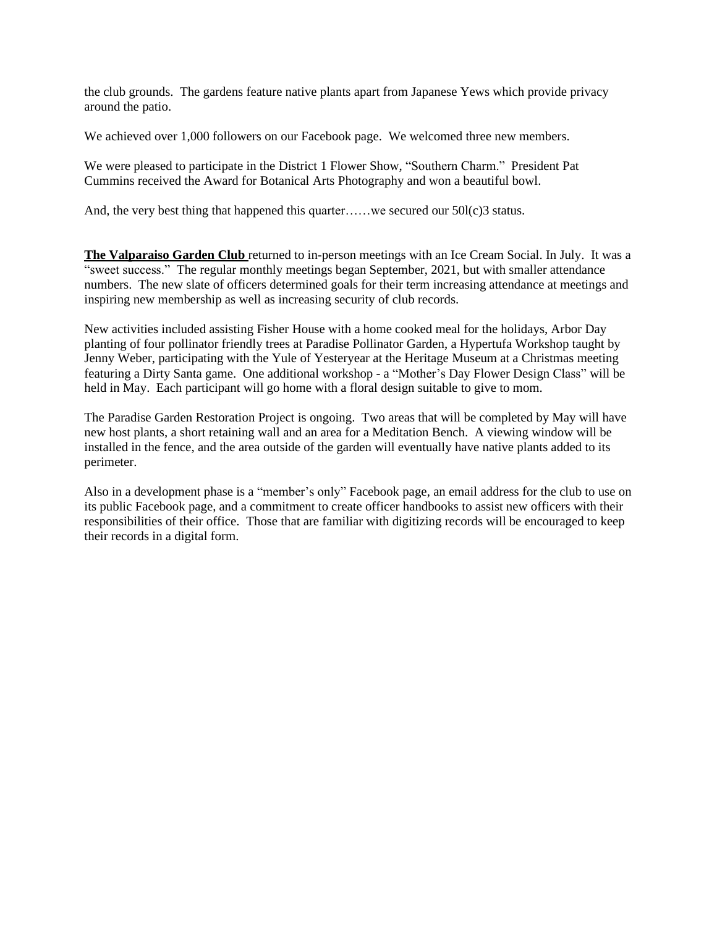the club grounds. The gardens feature native plants apart from Japanese Yews which provide privacy around the patio.

We achieved over 1,000 followers on our Facebook page. We welcomed three new members.

We were pleased to participate in the District 1 Flower Show, "Southern Charm." President Pat Cummins received the Award for Botanical Arts Photography and won a beautiful bowl.

And, the very best thing that happened this quarter……we secured our 50l(c)3 status.

**The Valparaiso Garden Club** returned to in-person meetings with an Ice Cream Social. In July. It was a "sweet success." The regular monthly meetings began September, 2021, but with smaller attendance numbers. The new slate of officers determined goals for their term increasing attendance at meetings and inspiring new membership as well as increasing security of club records.

New activities included assisting Fisher House with a home cooked meal for the holidays, Arbor Day planting of four pollinator friendly trees at Paradise Pollinator Garden, a Hypertufa Workshop taught by Jenny Weber, participating with the Yule of Yesteryear at the Heritage Museum at a Christmas meeting featuring a Dirty Santa game. One additional workshop - a "Mother's Day Flower Design Class" will be held in May. Each participant will go home with a floral design suitable to give to mom.

The Paradise Garden Restoration Project is ongoing. Two areas that will be completed by May will have new host plants, a short retaining wall and an area for a Meditation Bench. A viewing window will be installed in the fence, and the area outside of the garden will eventually have native plants added to its perimeter.

Also in a development phase is a "member's only" Facebook page, an email address for the club to use on its public Facebook page, and a commitment to create officer handbooks to assist new officers with their responsibilities of their office. Those that are familiar with digitizing records will be encouraged to keep their records in a digital form.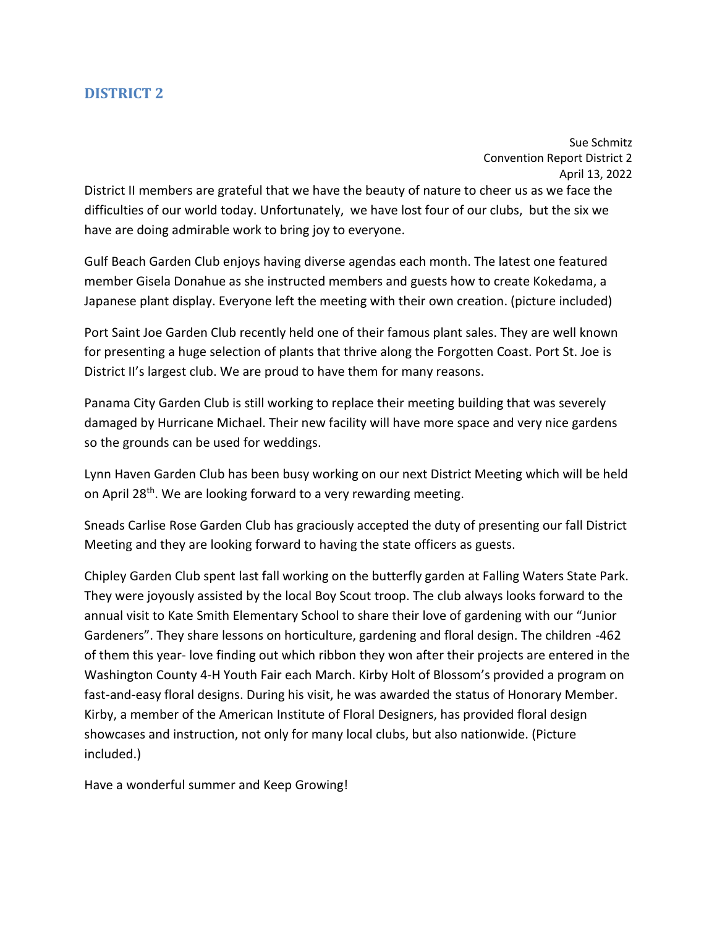Sue Schmitz Convention Report District 2 April 13, 2022

<span id="page-13-0"></span>District II members are grateful that we have the beauty of nature to cheer us as we face the difficulties of our world today. Unfortunately, we have lost four of our clubs, but the six we have are doing admirable work to bring joy to everyone.

Gulf Beach Garden Club enjoys having diverse agendas each month. The latest one featured member Gisela Donahue as she instructed members and guests how to create Kokedama, a Japanese plant display. Everyone left the meeting with their own creation. (picture included)

Port Saint Joe Garden Club recently held one of their famous plant sales. They are well known for presenting a huge selection of plants that thrive along the Forgotten Coast. Port St. Joe is District II's largest club. We are proud to have them for many reasons.

Panama City Garden Club is still working to replace their meeting building that was severely damaged by Hurricane Michael. Their new facility will have more space and very nice gardens so the grounds can be used for weddings.

Lynn Haven Garden Club has been busy working on our next District Meeting which will be held on April 28<sup>th</sup>. We are looking forward to a very rewarding meeting.

Sneads Carlise Rose Garden Club has graciously accepted the duty of presenting our fall District Meeting and they are looking forward to having the state officers as guests.

Chipley Garden Club spent last fall working on the butterfly garden at Falling Waters State Park. They were joyously assisted by the local Boy Scout troop. The club always looks forward to the annual visit to Kate Smith Elementary School to share their love of gardening with our "Junior Gardeners". They share lessons on horticulture, gardening and floral design. The children -462 of them this year- love finding out which ribbon they won after their projects are entered in the Washington County 4-H Youth Fair each March. Kirby Holt of Blossom's provided a program on fast-and-easy floral designs. During his visit, he was awarded the status of Honorary Member. Kirby, a member of the American Institute of Floral Designers, has provided floral design showcases and instruction, not only for many local clubs, but also nationwide. (Picture included.)

Have a wonderful summer and Keep Growing!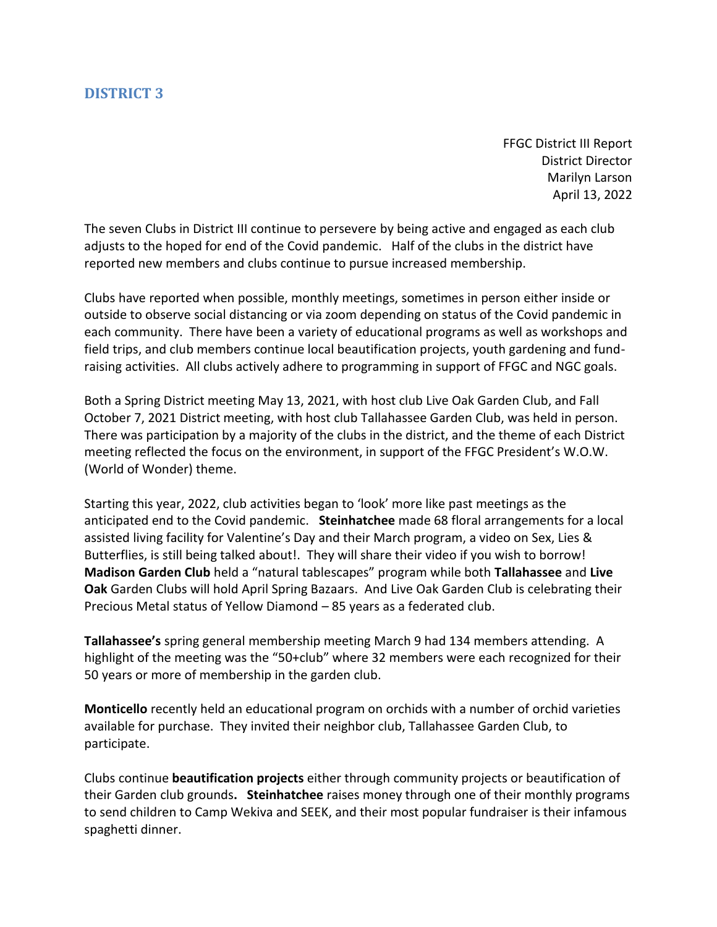FFGC District III Report District Director Marilyn Larson April 13, 2022

<span id="page-14-0"></span>The seven Clubs in District III continue to persevere by being active and engaged as each club adjusts to the hoped for end of the Covid pandemic. Half of the clubs in the district have reported new members and clubs continue to pursue increased membership.

Clubs have reported when possible, monthly meetings, sometimes in person either inside or outside to observe social distancing or via zoom depending on status of the Covid pandemic in each community. There have been a variety of educational programs as well as workshops and field trips, and club members continue local beautification projects, youth gardening and fundraising activities. All clubs actively adhere to programming in support of FFGC and NGC goals.

Both a Spring District meeting May 13, 2021, with host club Live Oak Garden Club, and Fall October 7, 2021 District meeting, with host club Tallahassee Garden Club, was held in person. There was participation by a majority of the clubs in the district, and the theme of each District meeting reflected the focus on the environment, in support of the FFGC President's W.O.W. (World of Wonder) theme.

Starting this year, 2022, club activities began to 'look' more like past meetings as the anticipated end to the Covid pandemic. **Steinhatchee** made 68 floral arrangements for a local assisted living facility for Valentine's Day and their March program, a video on Sex, Lies & Butterflies, is still being talked about!. They will share their video if you wish to borrow! **Madison Garden Club** held a "natural tablescapes" program while both **Tallahassee** and **Live Oak** Garden Clubs will hold April Spring Bazaars. And Live Oak Garden Club is celebrating their Precious Metal status of Yellow Diamond – 85 years as a federated club.

**Tallahassee's** spring general membership meeting March 9 had 134 members attending. A highlight of the meeting was the "50+club" where 32 members were each recognized for their 50 years or more of membership in the garden club.

**Monticello** recently held an educational program on orchids with a number of orchid varieties available for purchase. They invited their neighbor club, Tallahassee Garden Club, to participate.

Clubs continue **beautification projects** either through community projects or beautification of their Garden club grounds**. Steinhatchee** raises money through one of their monthly programs to send children to Camp Wekiva and SEEK, and their most popular fundraiser is their infamous spaghetti dinner.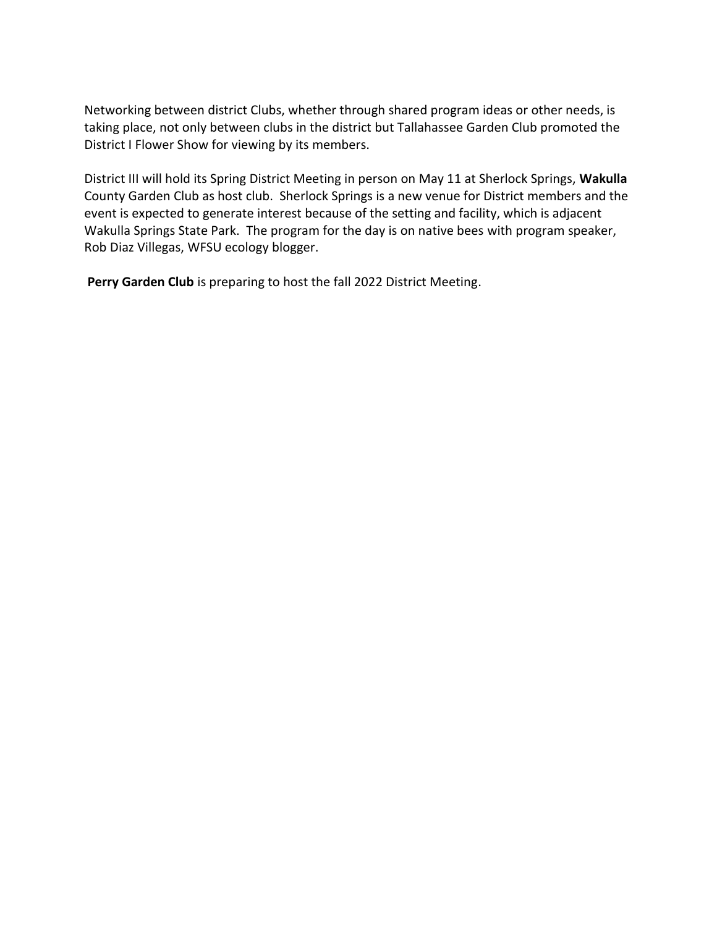Networking between district Clubs, whether through shared program ideas or other needs, is taking place, not only between clubs in the district but Tallahassee Garden Club promoted the District I Flower Show for viewing by its members.

District III will hold its Spring District Meeting in person on May 11 at Sherlock Springs, **Wakulla**  County Garden Club as host club. Sherlock Springs is a new venue for District members and the event is expected to generate interest because of the setting and facility, which is adjacent Wakulla Springs State Park. The program for the day is on native bees with program speaker, Rob Diaz Villegas, WFSU ecology blogger.

**Perry Garden Club** is preparing to host the fall 2022 District Meeting.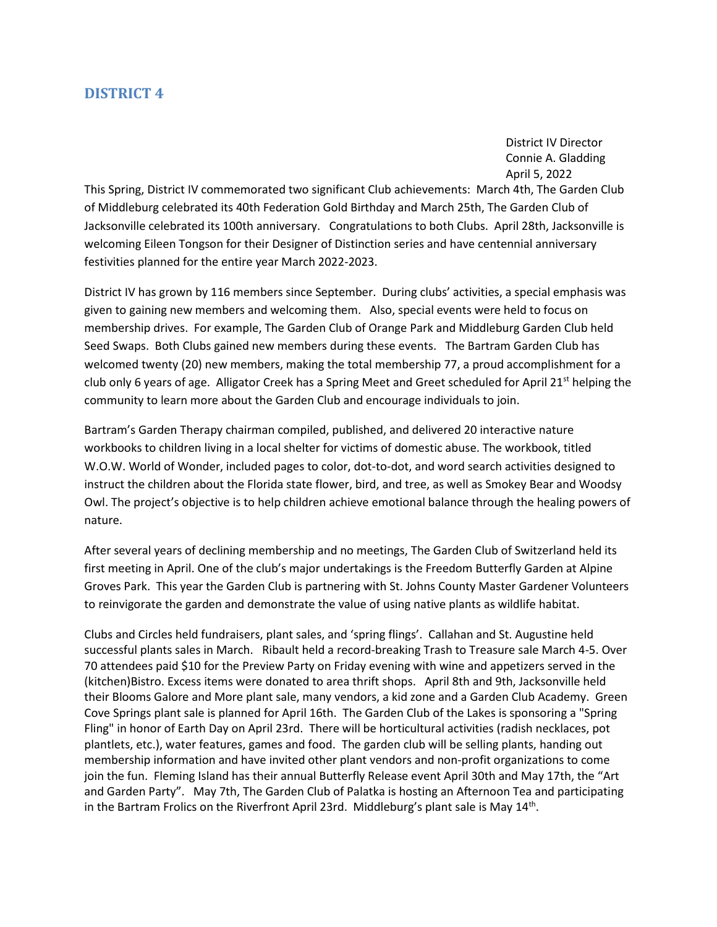District IV Director Connie A. Gladding April 5, 2022

<span id="page-16-0"></span>This Spring, District IV commemorated two significant Club achievements: March 4th, The Garden Club of Middleburg celebrated its 40th Federation Gold Birthday and March 25th, The Garden Club of Jacksonville celebrated its 100th anniversary. Congratulations to both Clubs. April 28th, Jacksonville is welcoming Eileen Tongson for their Designer of Distinction series and have centennial anniversary festivities planned for the entire year March 2022-2023.

District IV has grown by 116 members since September. During clubs' activities, a special emphasis was given to gaining new members and welcoming them. Also, special events were held to focus on membership drives. For example, The Garden Club of Orange Park and Middleburg Garden Club held Seed Swaps. Both Clubs gained new members during these events. The Bartram Garden Club has welcomed twenty (20) new members, making the total membership 77, a proud accomplishment for a club only 6 years of age. Alligator Creek has a Spring Meet and Greet scheduled for April 21<sup>st</sup> helping the community to learn more about the Garden Club and encourage individuals to join.

Bartram's Garden Therapy chairman compiled, published, and delivered 20 interactive nature workbooks to children living in a local shelter for victims of domestic abuse. The workbook, titled W.O.W. World of Wonder, included pages to color, dot-to-dot, and word search activities designed to instruct the children about the Florida state flower, bird, and tree, as well as Smokey Bear and Woodsy Owl. The project's objective is to help children achieve emotional balance through the healing powers of nature.

After several years of declining membership and no meetings, The Garden Club of Switzerland held its first meeting in April. One of the club's major undertakings is the Freedom Butterfly Garden at Alpine Groves Park. This year the Garden Club is partnering with St. Johns County Master Gardener Volunteers to reinvigorate the garden and demonstrate the value of using native plants as wildlife habitat.

Clubs and Circles held fundraisers, plant sales, and 'spring flings'. Callahan and St. Augustine held successful plants sales in March. Ribault held a record-breaking Trash to Treasure sale March 4-5. Over 70 attendees paid \$10 for the Preview Party on Friday evening with wine and appetizers served in the (kitchen)Bistro. Excess items were donated to area thrift shops. April 8th and 9th, Jacksonville held their Blooms Galore and More plant sale, many vendors, a kid zone and a Garden Club Academy. Green Cove Springs plant sale is planned for April 16th. The Garden Club of the Lakes is sponsoring a "Spring Fling" in honor of Earth Day on April 23rd. There will be horticultural activities (radish necklaces, pot plantlets, etc.), water features, games and food. The garden club will be selling plants, handing out membership information and have invited other plant vendors and non-profit organizations to come join the fun. Fleming Island has their annual Butterfly Release event April 30th and May 17th, the "Art and Garden Party". May 7th, The Garden Club of Palatka is hosting an Afternoon Tea and participating in the Bartram Frolics on the Riverfront April 23rd. Middleburg's plant sale is May 14<sup>th</sup>.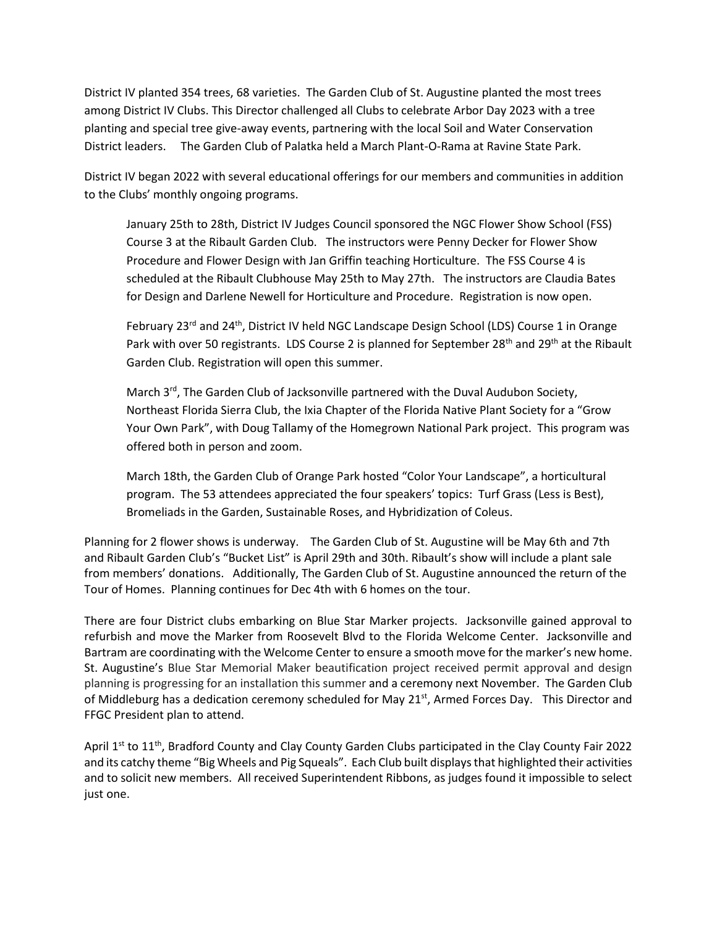District IV planted 354 trees, 68 varieties. The Garden Club of St. Augustine planted the most trees among District IV Clubs. This Director challenged all Clubs to celebrate Arbor Day 2023 with a tree planting and special tree give-away events, partnering with the local Soil and Water Conservation District leaders. The Garden Club of Palatka held a March Plant-O-Rama at Ravine State Park.

District IV began 2022 with several educational offerings for our members and communities in addition to the Clubs' monthly ongoing programs.

January 25th to 28th, District IV Judges Council sponsored the NGC Flower Show School (FSS) Course 3 at the Ribault Garden Club. The instructors were Penny Decker for Flower Show Procedure and Flower Design with Jan Griffin teaching Horticulture. The FSS Course 4 is scheduled at the Ribault Clubhouse May 25th to May 27th. The instructors are Claudia Bates for Design and Darlene Newell for Horticulture and Procedure. Registration is now open.

February 23<sup>rd</sup> and 24<sup>th</sup>, District IV held NGC Landscape Design School (LDS) Course 1 in Orange Park with over 50 registrants. LDS Course 2 is planned for September 28<sup>th</sup> and 29<sup>th</sup> at the Ribault Garden Club. Registration will open this summer.

March 3<sup>rd</sup>, The Garden Club of Jacksonville partnered with the Duval Audubon Society, Northeast Florida Sierra Club, the Ixia Chapter of the Florida Native Plant Society for a "Grow Your Own Park", with Doug Tallamy of the Homegrown National Park project. This program was offered both in person and zoom.

March 18th, the Garden Club of Orange Park hosted "Color Your Landscape", a horticultural program. The 53 attendees appreciated the four speakers' topics: Turf Grass (Less is Best), Bromeliads in the Garden, Sustainable Roses, and Hybridization of Coleus.

Planning for 2 flower shows is underway. The Garden Club of St. Augustine will be May 6th and 7th and Ribault Garden Club's "Bucket List" is April 29th and 30th. Ribault's show will include a plant sale from members' donations. Additionally, The Garden Club of St. Augustine announced the return of the Tour of Homes. Planning continues for Dec 4th with 6 homes on the tour.

There are four District clubs embarking on Blue Star Marker projects. Jacksonville gained approval to refurbish and move the Marker from Roosevelt Blvd to the Florida Welcome Center. Jacksonville and Bartram are coordinating with the Welcome Center to ensure a smooth move for the marker's new home. St. Augustine's Blue Star Memorial Maker beautification project received permit approval and design planning is progressing for an installation this summer and a ceremony next November. The Garden Club of Middleburg has a dedication ceremony scheduled for May 21<sup>st</sup>, Armed Forces Day. This Director and FFGC President plan to attend.

April 1<sup>st</sup> to 11<sup>th</sup>, Bradford County and Clay County Garden Clubs participated in the Clay County Fair 2022 and its catchy theme "Big Wheels and Pig Squeals". Each Club built displays that highlighted their activities and to solicit new members. All received Superintendent Ribbons, as judges found it impossible to select just one.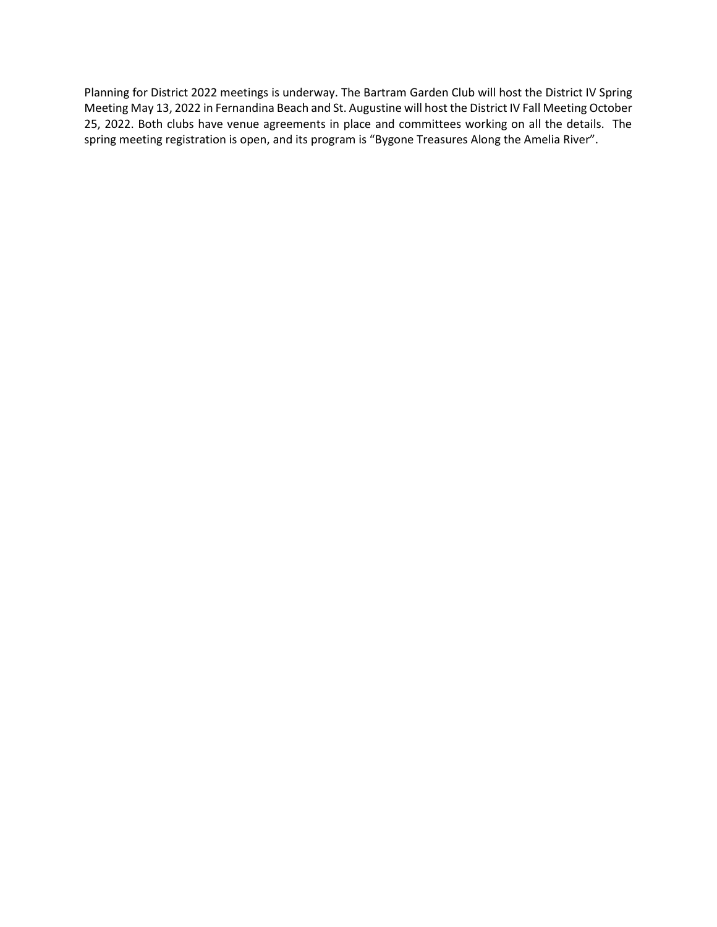Planning for District 2022 meetings is underway. The Bartram Garden Club will host the District IV Spring Meeting May 13, 2022 in Fernandina Beach and St. Augustine will host the District IV Fall Meeting October 25, 2022. Both clubs have venue agreements in place and committees working on all the details. The spring meeting registration is open, and its program is "Bygone Treasures Along the Amelia River".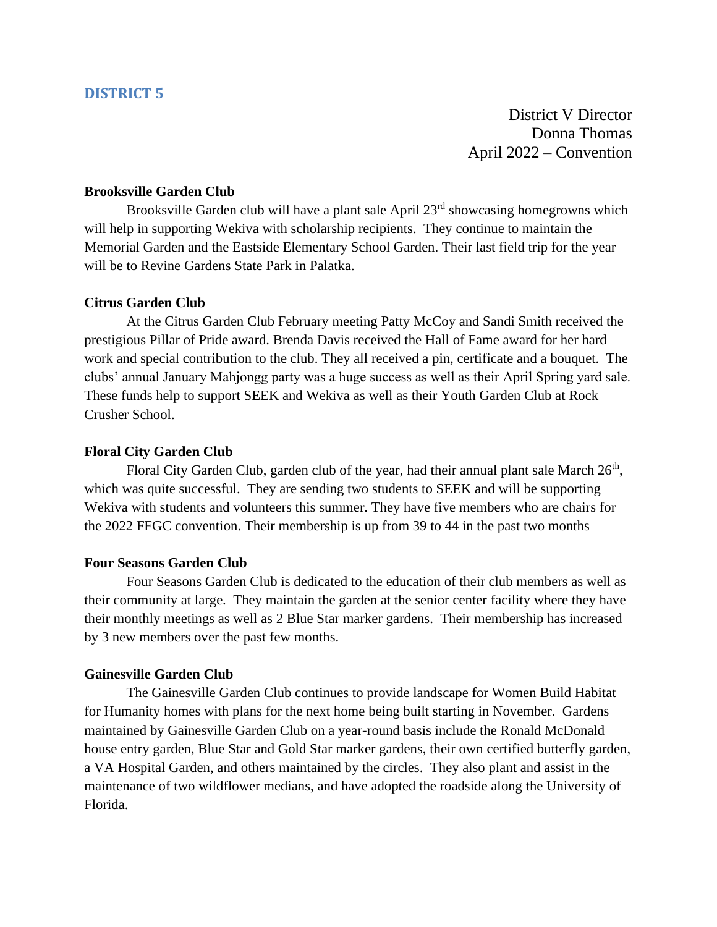District V Director Donna Thomas April 2022 – Convention

### <span id="page-19-0"></span>**Brooksville Garden Club**

Brooksville Garden club will have a plant sale April 23<sup>rd</sup> showcasing homegrowns which will help in supporting Wekiva with scholarship recipients. They continue to maintain the Memorial Garden and the Eastside Elementary School Garden. Their last field trip for the year will be to Revine Gardens State Park in Palatka.

### **Citrus Garden Club**

At the Citrus Garden Club February meeting Patty McCoy and Sandi Smith received the prestigious Pillar of Pride award. Brenda Davis received the Hall of Fame award for her hard work and special contribution to the club. They all received a pin, certificate and a bouquet. The clubs' annual January Mahjongg party was a huge success as well as their April Spring yard sale. These funds help to support SEEK and Wekiva as well as their Youth Garden Club at Rock Crusher School.

#### **Floral City Garden Club**

Floral City Garden Club, garden club of the year, had their annual plant sale March 26<sup>th</sup>, which was quite successful. They are sending two students to SEEK and will be supporting Wekiva with students and volunteers this summer. They have five members who are chairs for the 2022 FFGC convention. Their membership is up from 39 to 44 in the past two months

#### **Four Seasons Garden Club**

Four Seasons Garden Club is dedicated to the education of their club members as well as their community at large. They maintain the garden at the senior center facility where they have their monthly meetings as well as 2 Blue Star marker gardens. Their membership has increased by 3 new members over the past few months.

#### **Gainesville Garden Club**

The Gainesville Garden Club continues to provide landscape for Women Build Habitat for Humanity homes with plans for the next home being built starting in November. Gardens maintained by Gainesville Garden Club on a year-round basis include the Ronald McDonald house entry garden, Blue Star and Gold Star marker gardens, their own certified butterfly garden, a VA Hospital Garden, and others maintained by the circles. They also plant and assist in the maintenance of two wildflower medians, and have adopted the roadside along the University of Florida.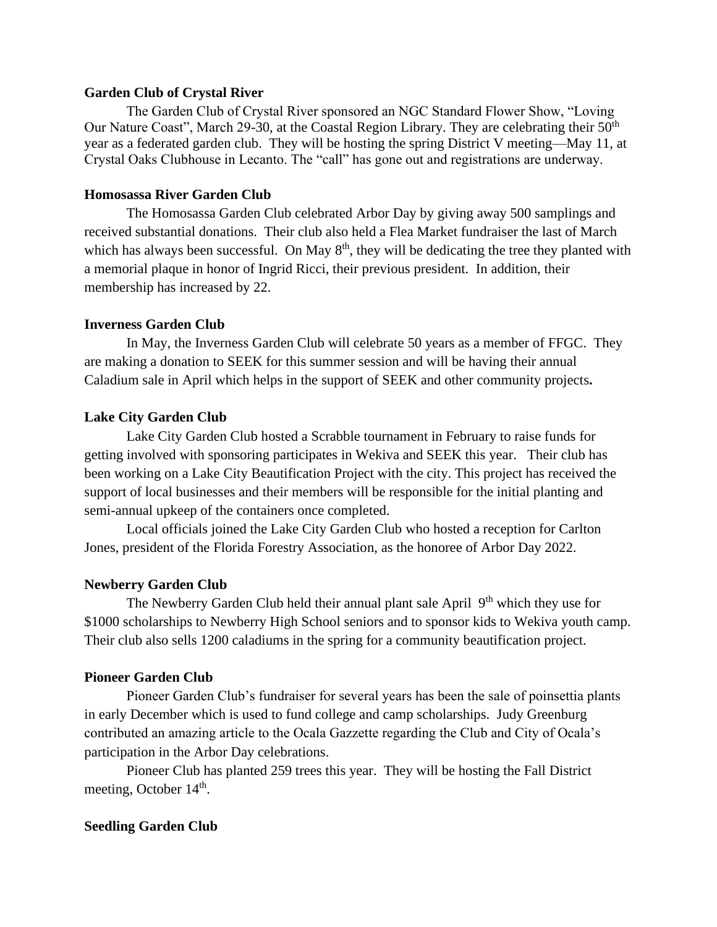#### **Garden Club of Crystal River**

The Garden Club of Crystal River sponsored an NGC Standard Flower Show, "Loving Our Nature Coast", March 29-30, at the Coastal Region Library. They are celebrating their 50<sup>th</sup> year as a federated garden club. They will be hosting the spring District V meeting—May 11, at Crystal Oaks Clubhouse in Lecanto. The "call" has gone out and registrations are underway.

#### **Homosassa River Garden Club**

The Homosassa Garden Club celebrated Arbor Day by giving away 500 samplings and received substantial donations. Their club also held a Flea Market fundraiser the last of March which has always been successful. On May  $8<sup>th</sup>$ , they will be dedicating the tree they planted with a memorial plaque in honor of Ingrid Ricci, their previous president. In addition, their membership has increased by 22.

### **Inverness Garden Club**

In May, the Inverness Garden Club will celebrate 50 years as a member of FFGC. They are making a donation to SEEK for this summer session and will be having their annual Caladium sale in April which helps in the support of SEEK and other community projects**.**

#### **Lake City Garden Club**

Lake City Garden Club hosted a Scrabble tournament in February to raise funds for getting involved with sponsoring participates in Wekiva and SEEK this year. Their club has been working on a Lake City Beautification Project with the city. This project has received the support of local businesses and their members will be responsible for the initial planting and semi-annual upkeep of the containers once completed.

Local officials joined the Lake City Garden Club who hosted a reception for Carlton Jones, president of the Florida Forestry Association, as the honoree of Arbor Day 2022.

#### **Newberry Garden Club**

The Newberry Garden Club held their annual plant sale April  $9<sup>th</sup>$  which they use for \$1000 scholarships to Newberry High School seniors and to sponsor kids to Wekiva youth camp. Their club also sells 1200 caladiums in the spring for a community beautification project.

#### **Pioneer Garden Club**

Pioneer Garden Club's fundraiser for several years has been the sale of poinsettia plants in early December which is used to fund college and camp scholarships. Judy Greenburg contributed an amazing article to the Ocala Gazzette regarding the Club and City of Ocala's participation in the Arbor Day celebrations.

Pioneer Club has planted 259 trees this year. They will be hosting the Fall District meeting, October 14<sup>th</sup>.

#### **Seedling Garden Club**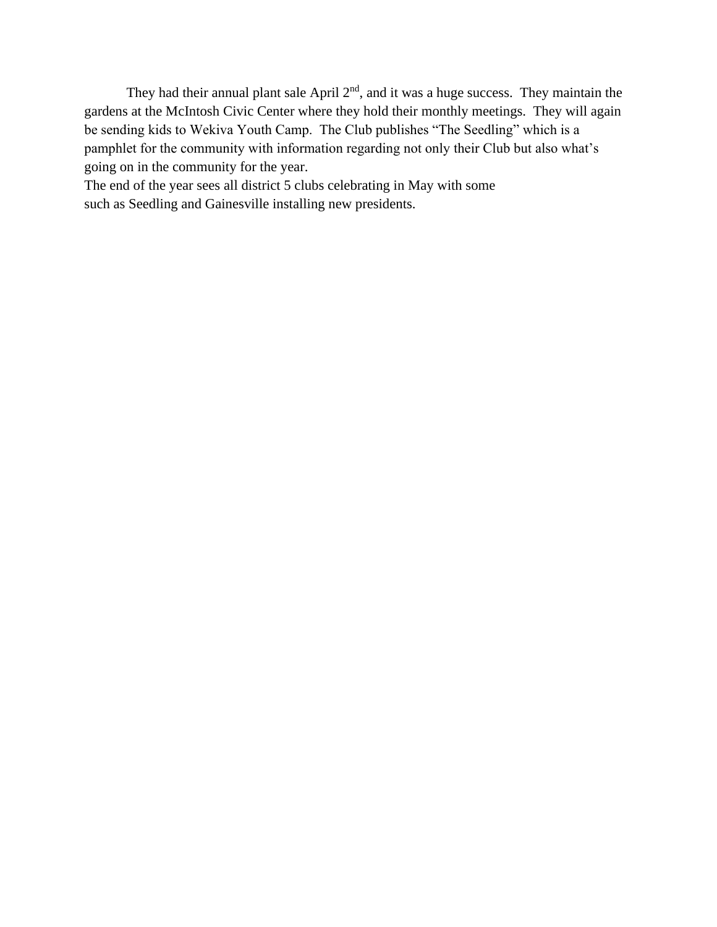They had their annual plant sale April  $2<sup>nd</sup>$ , and it was a huge success. They maintain the gardens at the McIntosh Civic Center where they hold their monthly meetings. They will again be sending kids to Wekiva Youth Camp. The Club publishes "The Seedling" which is a pamphlet for the community with information regarding not only their Club but also what's going on in the community for the year.

The end of the year sees all district 5 clubs celebrating in May with some such as Seedling and Gainesville installing new presidents.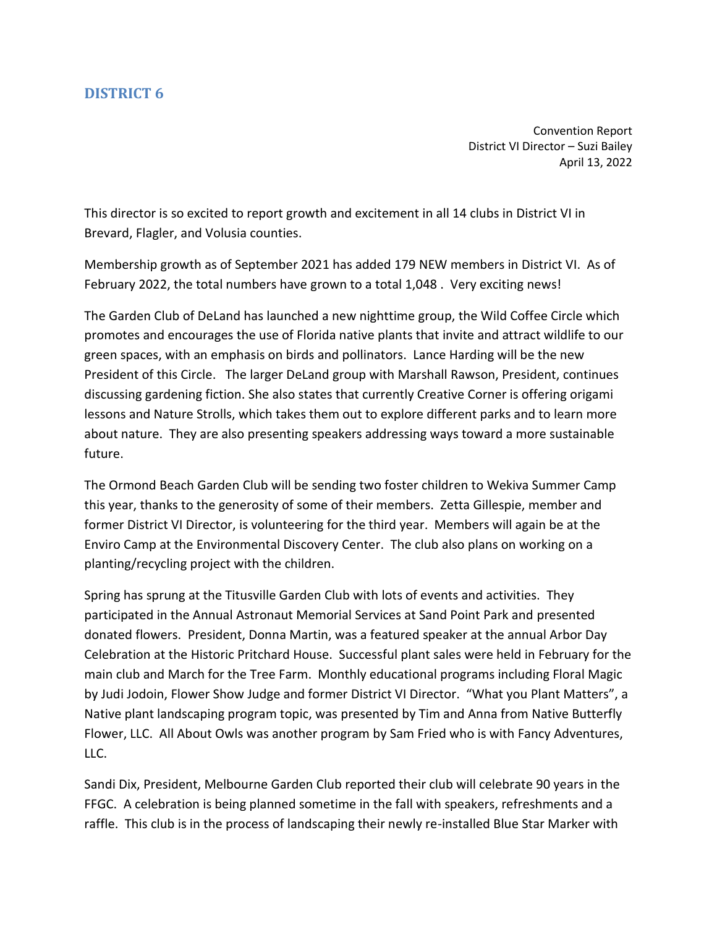Convention Report District VI Director – Suzi Bailey April 13, 2022

<span id="page-22-0"></span>This director is so excited to report growth and excitement in all 14 clubs in District VI in Brevard, Flagler, and Volusia counties.

Membership growth as of September 2021 has added 179 NEW members in District VI. As of February 2022, the total numbers have grown to a total 1,048 . Very exciting news!

The Garden Club of DeLand has launched a new nighttime group, the Wild Coffee Circle which promotes and encourages the use of Florida native plants that invite and attract wildlife to our green spaces, with an emphasis on birds and pollinators. Lance Harding will be the new President of this Circle. The larger DeLand group with Marshall Rawson, President, continues discussing gardening fiction. She also states that currently Creative Corner is offering origami lessons and Nature Strolls, which takes them out to explore different parks and to learn more about nature. They are also presenting speakers addressing ways toward a more sustainable future.

The Ormond Beach Garden Club will be sending two foster children to Wekiva Summer Camp this year, thanks to the generosity of some of their members. Zetta Gillespie, member and former District VI Director, is volunteering for the third year. Members will again be at the Enviro Camp at the Environmental Discovery Center. The club also plans on working on a planting/recycling project with the children.

Spring has sprung at the Titusville Garden Club with lots of events and activities. They participated in the Annual Astronaut Memorial Services at Sand Point Park and presented donated flowers. President, Donna Martin, was a featured speaker at the annual Arbor Day Celebration at the Historic Pritchard House. Successful plant sales were held in February for the main club and March for the Tree Farm. Monthly educational programs including Floral Magic by Judi Jodoin, Flower Show Judge and former District VI Director. "What you Plant Matters", a Native plant landscaping program topic, was presented by Tim and Anna from Native Butterfly Flower, LLC. All About Owls was another program by Sam Fried who is with Fancy Adventures, LLC.

Sandi Dix, President, Melbourne Garden Club reported their club will celebrate 90 years in the FFGC. A celebration is being planned sometime in the fall with speakers, refreshments and a raffle. This club is in the process of landscaping their newly re-installed Blue Star Marker with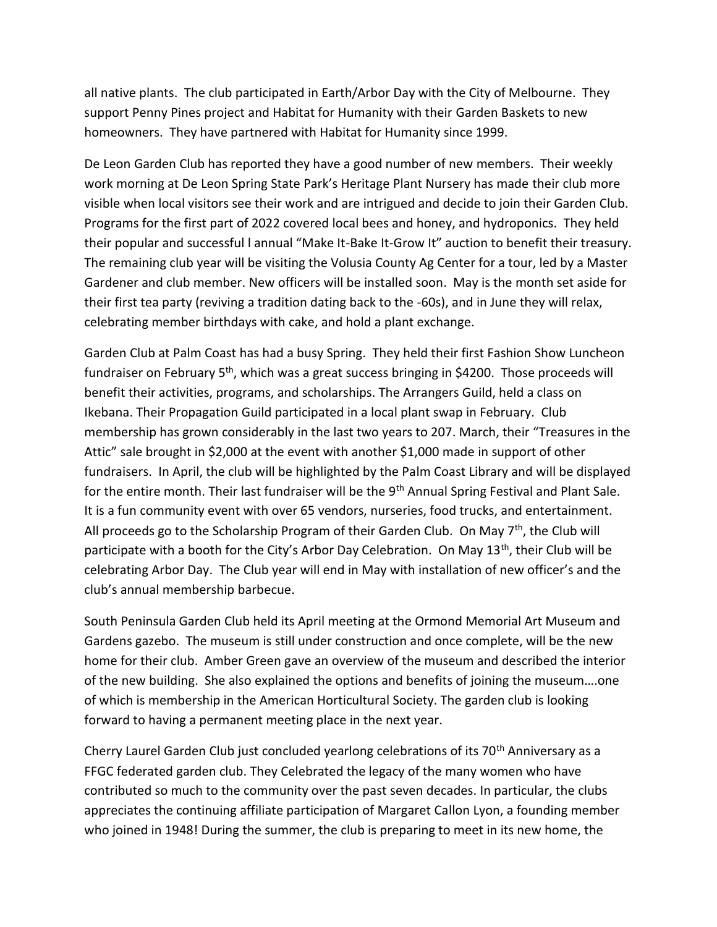all native plants. The club participated in Earth/Arbor Day with the City of Melbourne. They support Penny Pines project and Habitat for Humanity with their Garden Baskets to new homeowners. They have partnered with Habitat for Humanity since 1999.

De Leon Garden Club has reported they have a good number of new members. Their weekly work morning at De Leon Spring State Park's Heritage Plant Nursery has made their club more visible when local visitors see their work and are intrigued and decide to join their Garden Club. Programs for the first part of 2022 covered local bees and honey, and hydroponics. They held their popular and successful l annual "Make It-Bake It-Grow It" auction to benefit their treasury. The remaining club year will be visiting the Volusia County Ag Center for a tour, led by a Master Gardener and club member. New officers will be installed soon. May is the month set aside for their first tea party (reviving a tradition dating back to the -60s), and in June they will relax, celebrating member birthdays with cake, and hold a plant exchange.

Garden Club at Palm Coast has had a busy Spring. They held their first Fashion Show Luncheon fundraiser on February  $5<sup>th</sup>$ , which was a great success bringing in \$4200. Those proceeds will benefit their activities, programs, and scholarships. The Arrangers Guild, held a class on Ikebana. Their Propagation Guild participated in a local plant swap in February. Club membership has grown considerably in the last two years to 207. March, their "Treasures in the Attic" sale brought in \$2,000 at the event with another \$1,000 made in support of other fundraisers. In April, the club will be highlighted by the Palm Coast Library and will be displayed for the entire month. Their last fundraiser will be the 9<sup>th</sup> Annual Spring Festival and Plant Sale. It is a fun community event with over 65 vendors, nurseries, food trucks, and entertainment. All proceeds go to the Scholarship Program of their Garden Club. On May  $7<sup>th</sup>$ , the Club will participate with a booth for the City's Arbor Day Celebration. On May  $13<sup>th</sup>$ , their Club will be celebrating Arbor Day. The Club year will end in May with installation of new officer's and the club's annual membership barbecue.

South Peninsula Garden Club held its April meeting at the Ormond Memorial Art Museum and Gardens gazebo. The museum is still under construction and once complete, will be the new home for their club. Amber Green gave an overview of the museum and described the interior of the new building. She also explained the options and benefits of joining the museum….one of which is membership in the American Horticultural Society. The garden club is looking forward to having a permanent meeting place in the next year.

Cherry Laurel Garden Club just concluded yearlong celebrations of its 70<sup>th</sup> Anniversary as a FFGC federated garden club. They Celebrated the legacy of the many women who have contributed so much to the community over the past seven decades. In particular, the clubs appreciates the continuing affiliate participation of Margaret Callon Lyon, a founding member who joined in 1948! During the summer, the club is preparing to meet in its new home, the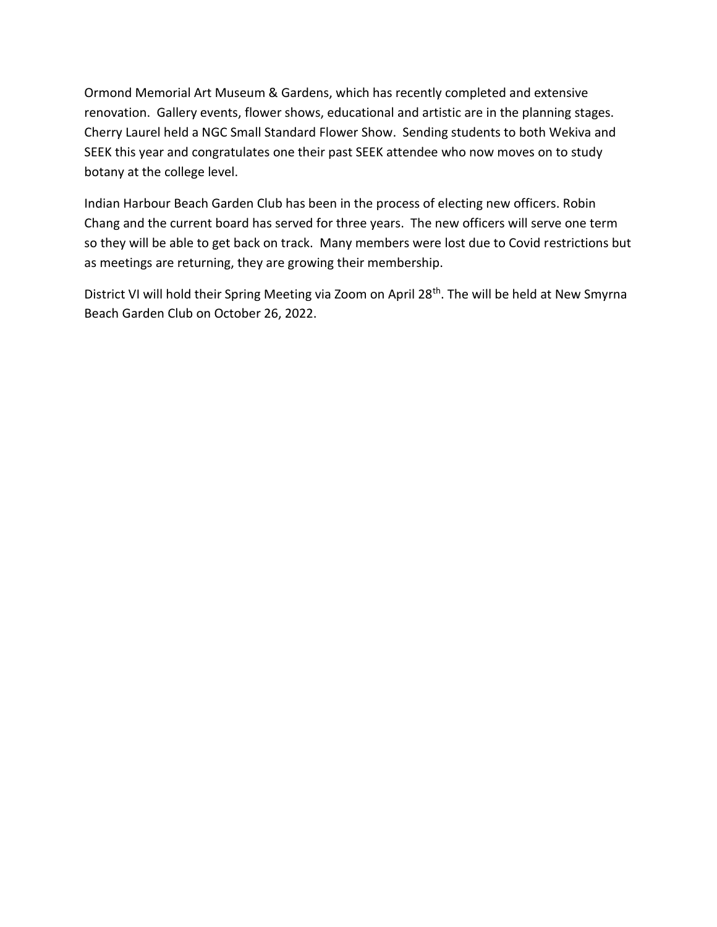Ormond Memorial Art Museum & Gardens, which has recently completed and extensive renovation. Gallery events, flower shows, educational and artistic are in the planning stages. Cherry Laurel held a NGC Small Standard Flower Show. Sending students to both Wekiva and SEEK this year and congratulates one their past SEEK attendee who now moves on to study botany at the college level.

Indian Harbour Beach Garden Club has been in the process of electing new officers. Robin Chang and the current board has served for three years. The new officers will serve one term so they will be able to get back on track. Many members were lost due to Covid restrictions but as meetings are returning, they are growing their membership.

District VI will hold their Spring Meeting via Zoom on April 28<sup>th</sup>. The will be held at New Smyrna Beach Garden Club on October 26, 2022.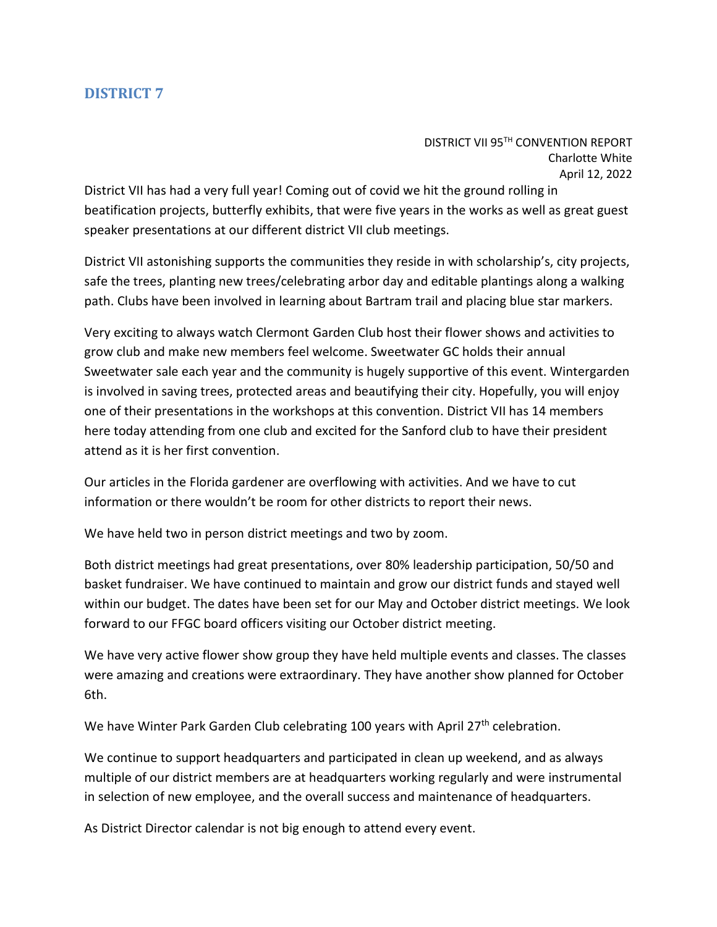DISTRICT VII 95TH CONVENTION REPORT Charlotte White April 12, 2022

<span id="page-25-0"></span>District VII has had a very full year! Coming out of covid we hit the ground rolling in beatification projects, butterfly exhibits, that were five years in the works as well as great guest speaker presentations at our different district VII club meetings.

District VII astonishing supports the communities they reside in with scholarship's, city projects, safe the trees, planting new trees/celebrating arbor day and editable plantings along a walking path. Clubs have been involved in learning about Bartram trail and placing blue star markers.

Very exciting to always watch Clermont Garden Club host their flower shows and activities to grow club and make new members feel welcome. Sweetwater GC holds their annual Sweetwater sale each year and the community is hugely supportive of this event. Wintergarden is involved in saving trees, protected areas and beautifying their city. Hopefully, you will enjoy one of their presentations in the workshops at this convention. District VII has 14 members here today attending from one club and excited for the Sanford club to have their president attend as it is her first convention.

Our articles in the Florida gardener are overflowing with activities. And we have to cut information or there wouldn't be room for other districts to report their news.

We have held two in person district meetings and two by zoom.

Both district meetings had great presentations, over 80% leadership participation, 50/50 and basket fundraiser. We have continued to maintain and grow our district funds and stayed well within our budget. The dates have been set for our May and October district meetings. We look forward to our FFGC board officers visiting our October district meeting.

We have very active flower show group they have held multiple events and classes. The classes were amazing and creations were extraordinary. They have another show planned for October 6th.

We have Winter Park Garden Club celebrating 100 years with April 27<sup>th</sup> celebration.

We continue to support headquarters and participated in clean up weekend, and as always multiple of our district members are at headquarters working regularly and were instrumental in selection of new employee, and the overall success and maintenance of headquarters.

As District Director calendar is not big enough to attend every event.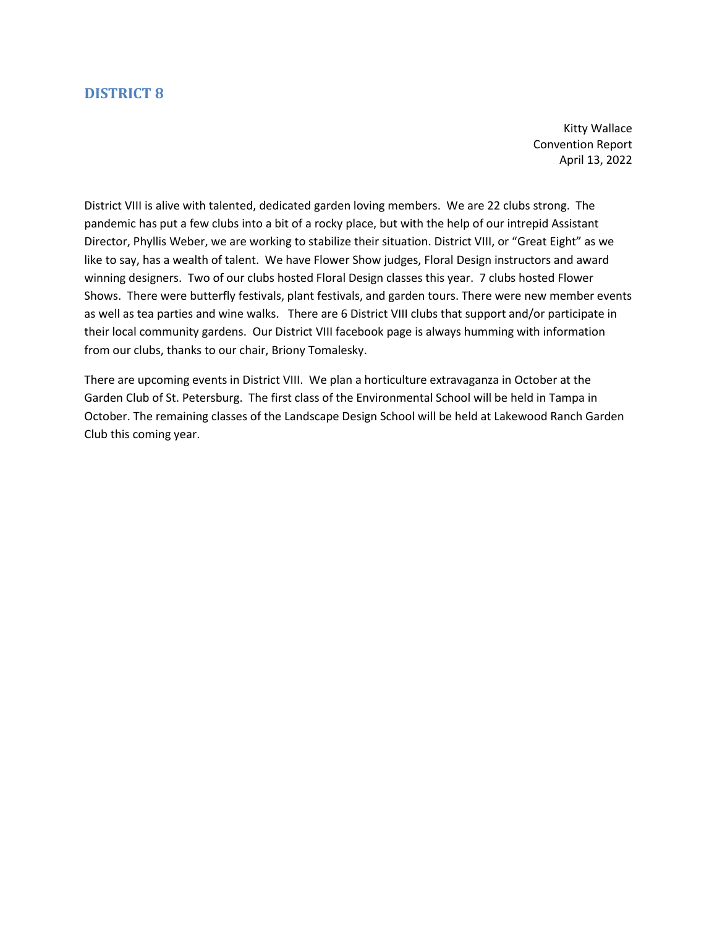Kitty Wallace Convention Report April 13, 2022

<span id="page-26-0"></span>District VIII is alive with talented, dedicated garden loving members. We are 22 clubs strong. The pandemic has put a few clubs into a bit of a rocky place, but with the help of our intrepid Assistant Director, Phyllis Weber, we are working to stabilize their situation. District VIII, or "Great Eight" as we like to say, has a wealth of talent. We have Flower Show judges, Floral Design instructors and award winning designers. Two of our clubs hosted Floral Design classes this year. 7 clubs hosted Flower Shows. There were butterfly festivals, plant festivals, and garden tours. There were new member events as well as tea parties and wine walks. There are 6 District VIII clubs that support and/or participate in their local community gardens. Our District VIII facebook page is always humming with information from our clubs, thanks to our chair, Briony Tomalesky.

There are upcoming events in District VIII. We plan a horticulture extravaganza in October at the Garden Club of St. Petersburg. The first class of the Environmental School will be held in Tampa in October. The remaining classes of the Landscape Design School will be held at Lakewood Ranch Garden Club this coming year.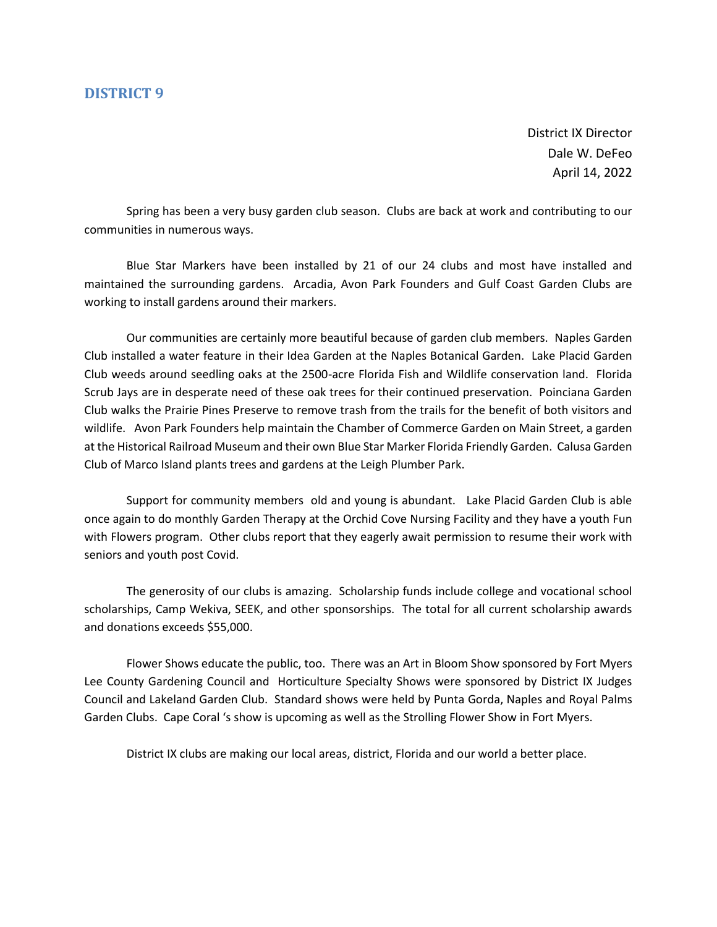District IX Director Dale W. DeFeo April 14, 2022

<span id="page-27-0"></span>Spring has been a very busy garden club season. Clubs are back at work and contributing to our communities in numerous ways.

Blue Star Markers have been installed by 21 of our 24 clubs and most have installed and maintained the surrounding gardens. Arcadia, Avon Park Founders and Gulf Coast Garden Clubs are working to install gardens around their markers.

Our communities are certainly more beautiful because of garden club members. Naples Garden Club installed a water feature in their Idea Garden at the Naples Botanical Garden. Lake Placid Garden Club weeds around seedling oaks at the 2500-acre Florida Fish and Wildlife conservation land. Florida Scrub Jays are in desperate need of these oak trees for their continued preservation. Poinciana Garden Club walks the Prairie Pines Preserve to remove trash from the trails for the benefit of both visitors and wildlife. Avon Park Founders help maintain the Chamber of Commerce Garden on Main Street, a garden at the Historical Railroad Museum and their own Blue Star Marker Florida Friendly Garden. Calusa Garden Club of Marco Island plants trees and gardens at the Leigh Plumber Park.

Support for community members old and young is abundant. Lake Placid Garden Club is able once again to do monthly Garden Therapy at the Orchid Cove Nursing Facility and they have a youth Fun with Flowers program. Other clubs report that they eagerly await permission to resume their work with seniors and youth post Covid.

The generosity of our clubs is amazing. Scholarship funds include college and vocational school scholarships, Camp Wekiva, SEEK, and other sponsorships. The total for all current scholarship awards and donations exceeds \$55,000.

Flower Shows educate the public, too. There was an Art in Bloom Show sponsored by Fort Myers Lee County Gardening Council and Horticulture Specialty Shows were sponsored by District IX Judges Council and Lakeland Garden Club. Standard shows were held by Punta Gorda, Naples and Royal Palms Garden Clubs. Cape Coral 's show is upcoming as well as the Strolling Flower Show in Fort Myers.

District IX clubs are making our local areas, district, Florida and our world a better place.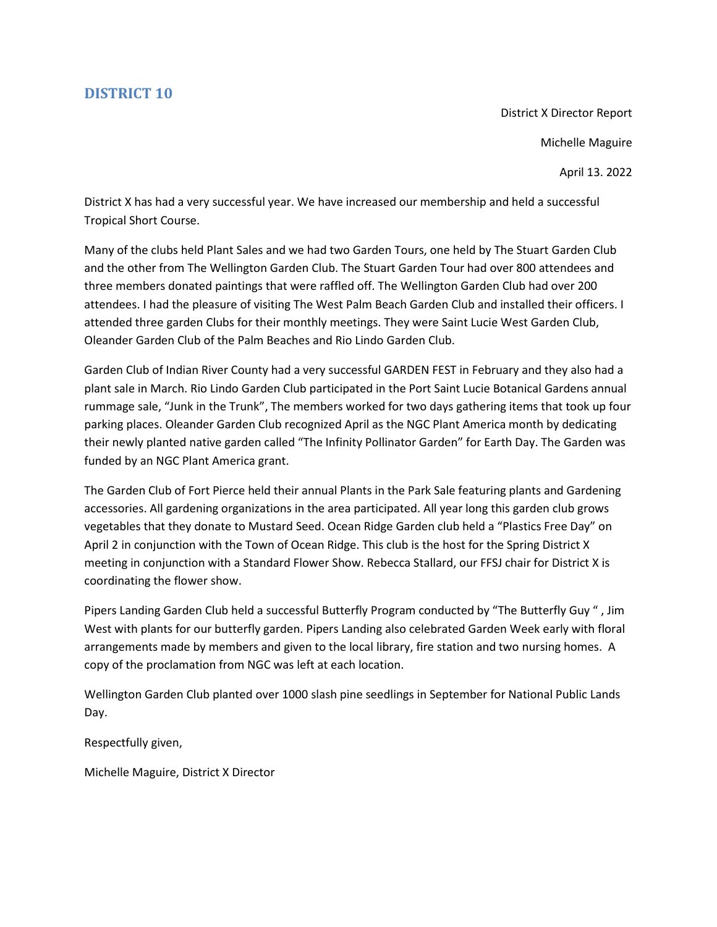District X Director Report Michelle Maguire

April 13. 2022

<span id="page-28-0"></span>District X has had a very successful year. We have increased our membership and held a successful Tropical Short Course.

Many of the clubs held Plant Sales and we had two Garden Tours, one held by The Stuart Garden Club and the other from The Wellington Garden Club. The Stuart Garden Tour had over 800 attendees and three members donated paintings that were raffled off. The Wellington Garden Club had over 200 attendees. I had the pleasure of visiting The West Palm Beach Garden Club and installed their officers. I attended three garden Clubs for their monthly meetings. They were Saint Lucie West Garden Club, Oleander Garden Club of the Palm Beaches and Rio Lindo Garden Club.

Garden Club of Indian River County had a very successful GARDEN FEST in February and they also had a plant sale in March. Rio Lindo Garden Club participated in the Port Saint Lucie Botanical Gardens annual rummage sale, "Junk in the Trunk", The members worked for two days gathering items that took up four parking places. Oleander Garden Club recognized April as the NGC Plant America month by dedicating their newly planted native garden called "The Infinity Pollinator Garden" for Earth Day. The Garden was funded by an NGC Plant America grant.

The Garden Club of Fort Pierce held their annual Plants in the Park Sale featuring plants and Gardening accessories. All gardening organizations in the area participated. All year long this garden club grows vegetables that they donate to Mustard Seed. Ocean Ridge Garden club held a "Plastics Free Day" on April 2 in conjunction with the Town of Ocean Ridge. This club is the host for the Spring District X meeting in conjunction with a Standard Flower Show. Rebecca Stallard, our FFSJ chair for District X is coordinating the flower show.

Pipers Landing Garden Club held a successful Butterfly Program conducted by "The Butterfly Guy " , Jim West with plants for our butterfly garden. Pipers Landing also celebrated Garden Week early with floral arrangements made by members and given to the local library, fire station and two nursing homes. A copy of the proclamation from NGC was left at each location.

Wellington Garden Club planted over 1000 slash pine seedlings in September for National Public Lands Day.

Respectfully given,

Michelle Maguire, District X Director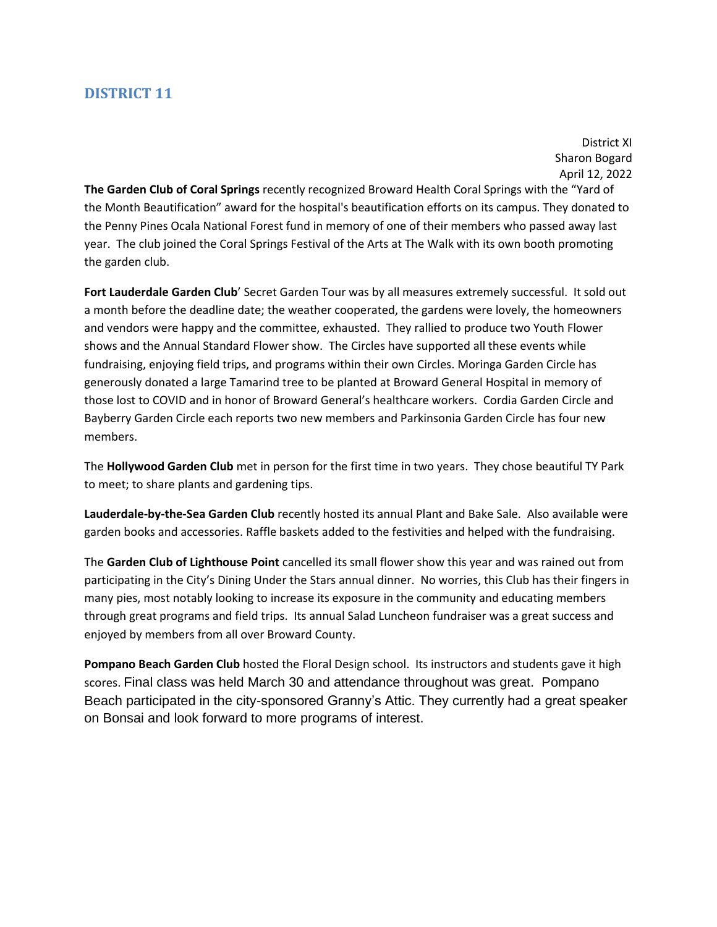District XI Sharon Bogard April 12, 2022

<span id="page-29-0"></span>**The [Garden](https://www.facebook.com/groups/159378187506242/?__cft__%5b0%5d=AZVhMJ9wBk5sdNZ-NyohcoRoWNaBIT1CukVS8l--begqbbDhgSqYyRGxFxEU6T3rSsFc6LkLDLuzqUjbaKeaI22tex3dgA1hG-nVj7k3lGmgKJkUpAHuz_D5XDduWQ8jWmM&__tn__=-UK-R) Club of Coral Springs** recently recognize[d Broward](https://www.facebook.com/BrowardHealth/?__cft__%5b0%5d=AZVhMJ9wBk5sdNZ-NyohcoRoWNaBIT1CukVS8l--begqbbDhgSqYyRGxFxEU6T3rSsFc6LkLDLuzqUjbaKeaI22tex3dgA1hG-nVj7k3lGmgKJkUpAHuz_D5XDduWQ8jWmM&__tn__=kK-R) Health Coral Springs with the "Yard of the Month Beautification" award for the hospital's beautification efforts on its campus. They donated to the Penny Pines Ocala National Forest fund in memory of one of their members who passed away last year. The club joined the Coral Springs Festival of the Arts at The Walk with its own booth promoting the garden club.

**Fort Lauderdale Garden Club**' Secret Garden Tour was by all measures extremely successful. It sold out a month before the deadline date; the weather cooperated, the gardens were lovely, the homeowners and vendors were happy and the committee, exhausted. They rallied to produce two Youth Flower shows and the Annual Standard Flower show. The Circles have supported all these events while fundraising, enjoying field trips, and programs within their own Circles. Moringa Garden Circle has generously donated a large Tamarind tree to be planted at Broward General Hospital in memory of those lost to COVID and in honor of Broward General's healthcare workers. Cordia Garden Circle and Bayberry Garden Circle each reports two new members and Parkinsonia Garden Circle has four new members.

The **Hollywood Garden Club** met in person for the first time in two years. They chose beautiful TY Park to meet; to share plants and gardening tips.

**Lauderdale-by-the-Sea Garden Club** recently hosted its annual Plant and Bake Sale. Also available were garden books and accessories. Raffle baskets added to the festivities and helped with the fundraising.

The **Garden Club of Lighthouse Point** cancelled its small flower show this year and was rained out from participating in the City's Dining Under the Stars annual dinner. No worries, this Club has their fingers in many pies, most notably looking to increase its exposure in the community and educating members through great programs and field trips. Its annual Salad Luncheon fundraiser was a great success and enjoyed by members from all over Broward County.

**Pompano Beach Garden Club** hosted the Floral Design school. Its instructors and students gave it high scores. Final class was held March 30 and attendance throughout was great. Pompano Beach participated in the city-sponsored Granny's Attic. They currently had a great speaker on Bonsai and look forward to more programs of interest.